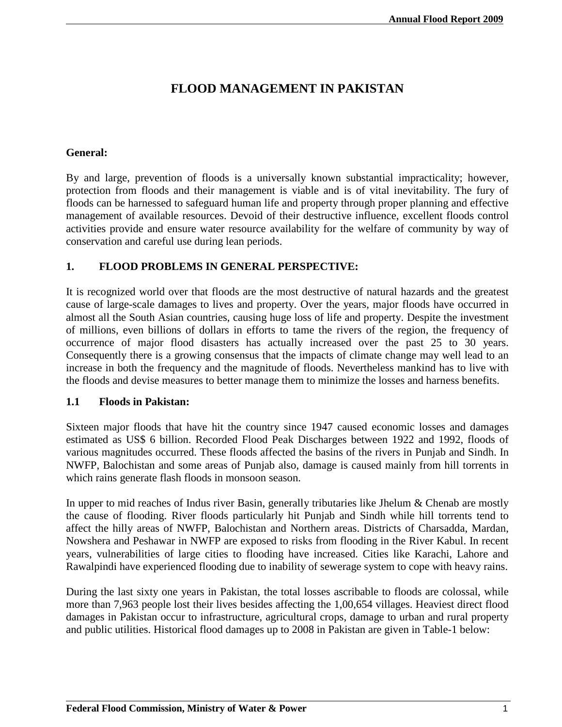# **FLOOD MANAGEMENT IN PAKISTAN**

### **General:**

By and large, prevention of floods is a universally known substantial impracticality; however, protection from floods and their management is viable and is of vital inevitability. The fury of floods can be harnessed to safeguard human life and property through proper planning and effective management of available resources. Devoid of their destructive influence, excellent floods control activities provide and ensure water resource availability for the welfare of community by way of conservation and careful use during lean periods.

### **1. FLOOD PROBLEMS IN GENERAL PERSPECTIVE:**

It is recognized world over that floods are the most destructive of natural hazards and the greatest cause of large-scale damages to lives and property. Over the years, major floods have occurred in almost all the South Asian countries, causing huge loss of life and property. Despite the investment of millions, even billions of dollars in efforts to tame the rivers of the region, the frequency of occurrence of major flood disasters has actually increased over the past 25 to 30 years. Consequently there is a growing consensus that the impacts of climate change may well lead to an increase in both the frequency and the magnitude of floods. Nevertheless mankind has to live with the floods and devise measures to better manage them to minimize the losses and harness benefits.

#### **1.1 Floods in Pakistan:**

Sixteen major floods that have hit the country since 1947 caused economic losses and damages estimated as US\$ 6 billion. Recorded Flood Peak Discharges between 1922 and 1992, floods of various magnitudes occurred. These floods affected the basins of the rivers in Punjab and Sindh. In NWFP, Balochistan and some areas of Punjab also, damage is caused mainly from hill torrents in which rains generate flash floods in monsoon season.

In upper to mid reaches of Indus river Basin, generally tributaries like Jhelum & Chenab are mostly the cause of flooding. River floods particularly hit Punjab and Sindh while hill torrents tend to affect the hilly areas of NWFP, Balochistan and Northern areas. Districts of Charsadda, Mardan, Nowshera and Peshawar in NWFP are exposed to risks from flooding in the River Kabul. In recent years, vulnerabilities of large cities to flooding have increased. Cities like Karachi, Lahore and Rawalpindi have experienced flooding due to inability of sewerage system to cope with heavy rains.

During the last sixty one years in Pakistan, the total losses ascribable to floods are colossal, while more than 7,963 people lost their lives besides affecting the 1,00,654 villages. Heaviest direct flood damages in Pakistan occur to infrastructure, agricultural crops, damage to urban and rural property and public utilities. Historical flood damages up to 2008 in Pakistan are given in Table-1 below: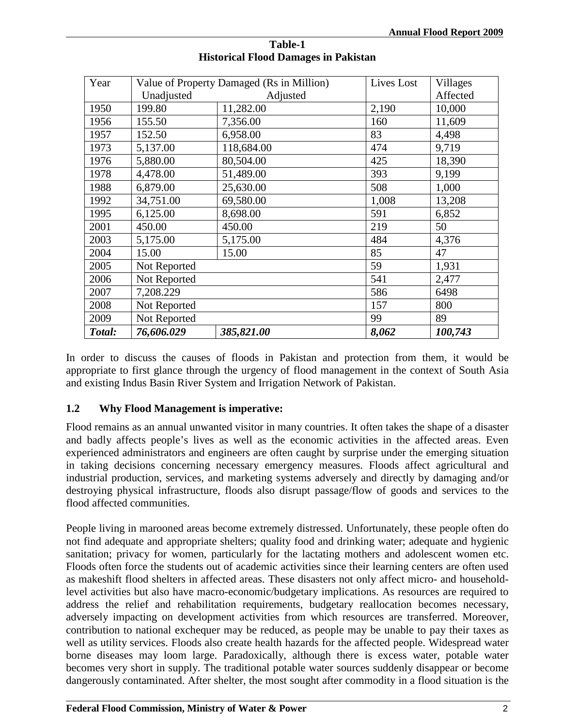| Year   |              | Value of Property Damaged (Rs in Million) | Lives Lost | <b>Villages</b> |
|--------|--------------|-------------------------------------------|------------|-----------------|
|        | Unadjusted   | Adjusted                                  |            | Affected        |
| 1950   | 199.80       | 11,282.00                                 | 2,190      | 10,000          |
| 1956   | 155.50       | 7,356.00                                  | 160        | 11,609          |
| 1957   | 152.50       | 6,958.00                                  | 83         | 4,498           |
| 1973   | 5,137.00     | 118,684.00                                | 474        | 9,719           |
| 1976   | 5,880.00     | 80,504.00                                 | 425        | 18,390          |
| 1978   | 4,478.00     | 51,489.00                                 | 393        | 9,199           |
| 1988   | 6,879.00     | 25,630.00                                 | 508        | 1,000           |
| 1992   | 34,751.00    | 69,580.00                                 | 1,008      | 13,208          |
| 1995   | 6,125.00     | 8,698.00                                  | 591        | 6,852           |
| 2001   | 450.00       | 450.00                                    | 219        | 50              |
| 2003   | 5,175.00     | 5,175.00                                  | 484        | 4,376           |
| 2004   | 15.00        | 15.00                                     | 85         | 47              |
| 2005   | Not Reported |                                           | 59         | 1,931           |
| 2006   | Not Reported |                                           | 541        | 2,477           |
| 2007   | 7,208.229    |                                           | 586        | 6498            |
| 2008   | Not Reported |                                           | 157        | 800             |
| 2009   | Not Reported |                                           | 99         | 89              |
| Total: | 76,606.029   | 385,821.00                                | 8,062      | 100,743         |

#### **Table-1 Historical Flood Damages in Pakistan**

In order to discuss the causes of floods in Pakistan and protection from them, it would be appropriate to first glance through the urgency of flood management in the context of South Asia and existing Indus Basin River System and Irrigation Network of Pakistan.

### **1.2 Why Flood Management is imperative:**

Flood remains as an annual unwanted visitor in many countries. It often takes the shape of a disaster and badly affects people's lives as well as the economic activities in the affected areas. Even experienced administrators and engineers are often caught by surprise under the emerging situation in taking decisions concerning necessary emergency measures. Floods affect agricultural and industrial production, services, and marketing systems adversely and directly by damaging and/or destroying physical infrastructure, floods also disrupt passage/flow of goods and services to the flood affected communities.

People living in marooned areas become extremely distressed. Unfortunately, these people often do not find adequate and appropriate shelters; quality food and drinking water; adequate and hygienic sanitation; privacy for women, particularly for the lactating mothers and adolescent women etc. Floods often force the students out of academic activities since their learning centers are often used as makeshift flood shelters in affected areas. These disasters not only affect micro- and householdlevel activities but also have macro-economic/budgetary implications. As resources are required to address the relief and rehabilitation requirements, budgetary reallocation becomes necessary, adversely impacting on development activities from which resources are transferred. Moreover, contribution to national exchequer may be reduced, as people may be unable to pay their taxes as well as utility services. Floods also create health hazards for the affected people. Widespread water borne diseases may loom large. Paradoxically, although there is excess water, potable water becomes very short in supply. The traditional potable water sources suddenly disappear or become dangerously contaminated. After shelter, the most sought after commodity in a flood situation is the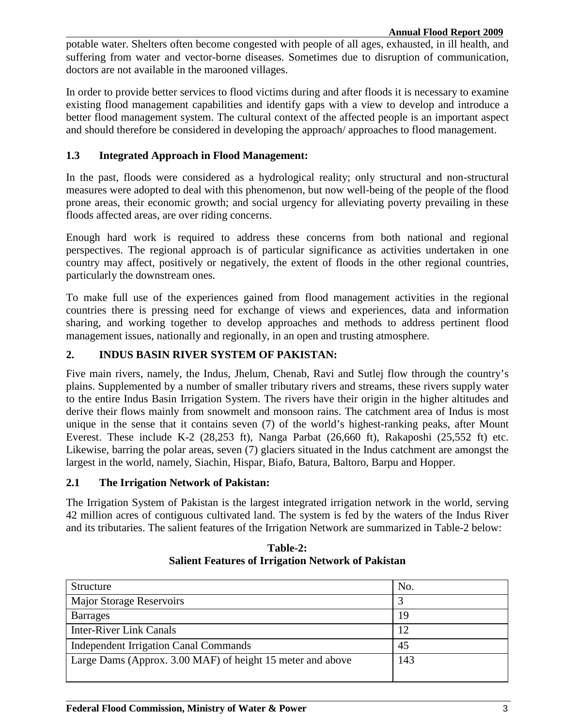potable water. Shelters often become congested with people of all ages, exhausted, in ill health, and suffering from water and vector-borne diseases. Sometimes due to disruption of communication, doctors are not available in the marooned villages.

In order to provide better services to flood victims during and after floods it is necessary to examine existing flood management capabilities and identify gaps with a view to develop and introduce a better flood management system. The cultural context of the affected people is an important aspect and should therefore be considered in developing the approach/ approaches to flood management.

### **1.3 Integrated Approach in Flood Management:**

In the past, floods were considered as a hydrological reality; only structural and non-structural measures were adopted to deal with this phenomenon, but now well-being of the people of the flood prone areas, their economic growth; and social urgency for alleviating poverty prevailing in these floods affected areas, are over riding concerns.

Enough hard work is required to address these concerns from both national and regional perspectives. The regional approach is of particular significance as activities undertaken in one country may affect, positively or negatively, the extent of floods in the other regional countries, particularly the downstream ones.

To make full use of the experiences gained from flood management activities in the regional countries there is pressing need for exchange of views and experiences, data and information sharing, and working together to develop approaches and methods to address pertinent flood management issues, nationally and regionally, in an open and trusting atmosphere.

### **2. INDUS BASIN RIVER SYSTEM OF PAKISTAN:**

Five main rivers, namely, the Indus, Jhelum, Chenab, Ravi and Sutlej flow through the country's plains. Supplemented by a number of smaller tributary rivers and streams, these rivers supply water to the entire Indus Basin Irrigation System. The rivers have their origin in the higher altitudes and derive their flows mainly from snowmelt and monsoon rains. The catchment area of Indus is most unique in the sense that it contains seven (7) of the world's highest-ranking peaks, after Mount Everest. These include K-2 (28,253 ft), Nanga Parbat (26,660 ft), Rakaposhi (25,552 ft) etc. Likewise, barring the polar areas, seven (7) glaciers situated in the Indus catchment are amongst the largest in the world, namely, Siachin, Hispar, Biafo, Batura, Baltoro, Barpu and Hopper.

### **2.1 The Irrigation Network of Pakistan:**

The Irrigation System of Pakistan is the largest integrated irrigation network in the world, serving 42 million acres of contiguous cultivated land. The system is fed by the waters of the Indus River and its tributaries. The salient features of the Irrigation Network are summarized in Table-2 below:

| Structure                                                  | No. |
|------------------------------------------------------------|-----|
| <b>Major Storage Reservoirs</b>                            |     |
| <b>Barrages</b>                                            | 19  |
| <b>Inter-River Link Canals</b>                             | 12  |
| <b>Independent Irrigation Canal Commands</b>               | 45  |
| Large Dams (Approx. 3.00 MAF) of height 15 meter and above | 143 |
|                                                            |     |

**Table-2: Salient Features of Irrigation Network of Pakistan**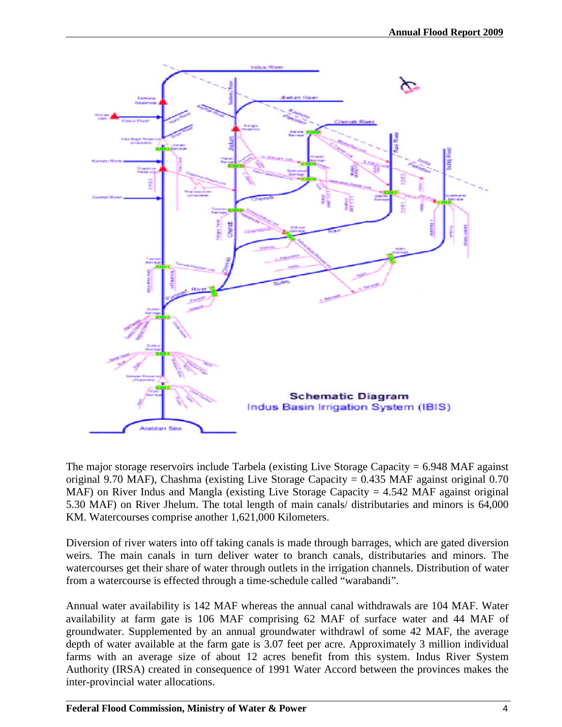

The major storage reservoirs include Tarbela (existing Live Storage Capacity  $= 6.948$  MAF against original 9.70 MAF), Chashma (existing Live Storage Capacity = 0.435 MAF against original 0.70 MAF) on River Indus and Mangla (existing Live Storage Capacity  $= 4.542$  MAF against original 5.30 MAF) on River Jhelum. The total length of main canals/ distributaries and minors is 64,000 KM. Watercourses comprise another 1,621,000 Kilometers.

Diversion of river waters into off taking canals is made through barrages, which are gated diversion weirs. The main canals in turn deliver water to branch canals, distributaries and minors. The watercourses get their share of water through outlets in the irrigation channels. Distribution of water from a watercourse is effected through a time-schedule called "warabandi".

Annual water availability is 142 MAF whereas the annual canal withdrawals are 104 MAF. Water availability at farm gate is 106 MAF comprising 62 MAF of surface water and 44 MAF of groundwater. Supplemented by an annual groundwater withdrawl of some 42 MAF, the average depth of water available at the farm gate is 3.07 feet per acre. Approximately 3 million individual farms with an average size of about 12 acres benefit from this system. Indus River System Authority (IRSA) created in consequence of 1991 Water Accord between the provinces makes the inter-provincial water allocations.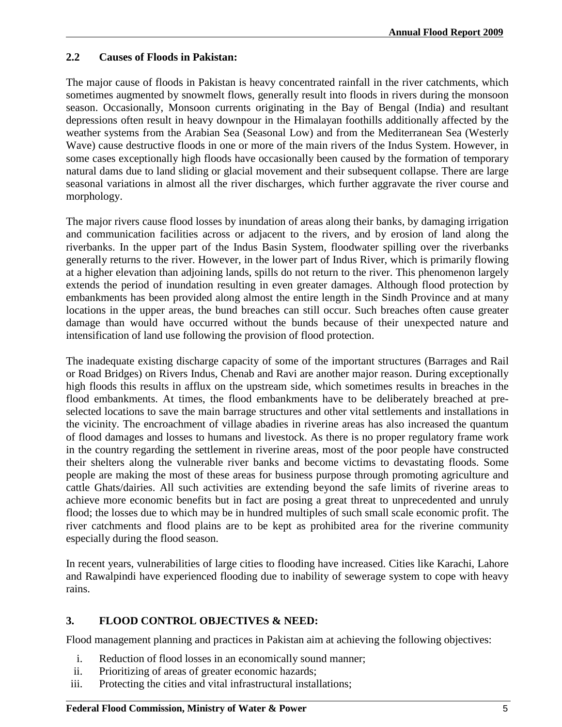### **2.2 Causes of Floods in Pakistan:**

The major cause of floods in Pakistan is heavy concentrated rainfall in the river catchments, which sometimes augmented by snowmelt flows, generally result into floods in rivers during the monsoon season. Occasionally, Monsoon currents originating in the Bay of Bengal (India) and resultant depressions often result in heavy downpour in the Himalayan foothills additionally affected by the weather systems from the Arabian Sea (Seasonal Low) and from the Mediterranean Sea (Westerly Wave) cause destructive floods in one or more of the main rivers of the Indus System. However, in some cases exceptionally high floods have occasionally been caused by the formation of temporary natural dams due to land sliding or glacial movement and their subsequent collapse. There are large seasonal variations in almost all the river discharges, which further aggravate the river course and morphology.

The major rivers cause flood losses by inundation of areas along their banks, by damaging irrigation and communication facilities across or adjacent to the rivers, and by erosion of land along the riverbanks. In the upper part of the Indus Basin System, floodwater spilling over the riverbanks generally returns to the river. However, in the lower part of Indus River, which is primarily flowing at a higher elevation than adjoining lands, spills do not return to the river. This phenomenon largely extends the period of inundation resulting in even greater damages. Although flood protection by embankments has been provided along almost the entire length in the Sindh Province and at many locations in the upper areas, the bund breaches can still occur. Such breaches often cause greater damage than would have occurred without the bunds because of their unexpected nature and intensification of land use following the provision of flood protection.

The inadequate existing discharge capacity of some of the important structures (Barrages and Rail or Road Bridges) on Rivers Indus, Chenab and Ravi are another major reason. During exceptionally high floods this results in afflux on the upstream side, which sometimes results in breaches in the flood embankments. At times, the flood embankments have to be deliberately breached at preselected locations to save the main barrage structures and other vital settlements and installations in the vicinity. The encroachment of village abadies in riverine areas has also increased the quantum of flood damages and losses to humans and livestock. As there is no proper regulatory frame work in the country regarding the settlement in riverine areas, most of the poor people have constructed their shelters along the vulnerable river banks and become victims to devastating floods. Some people are making the most of these areas for business purpose through promoting agriculture and cattle Ghats/dairies. All such activities are extending beyond the safe limits of riverine areas to achieve more economic benefits but in fact are posing a great threat to unprecedented and unruly flood; the losses due to which may be in hundred multiples of such small scale economic profit. The river catchments and flood plains are to be kept as prohibited area for the riverine community especially during the flood season.

In recent years, vulnerabilities of large cities to flooding have increased. Cities like Karachi, Lahore and Rawalpindi have experienced flooding due to inability of sewerage system to cope with heavy rains.

### **3. FLOOD CONTROL OBJECTIVES & NEED:**

Flood management planning and practices in Pakistan aim at achieving the following objectives:

- i. Reduction of flood losses in an economically sound manner;
- ii. Prioritizing of areas of greater economic hazards;
- iii. Protecting the cities and vital infrastructural installations;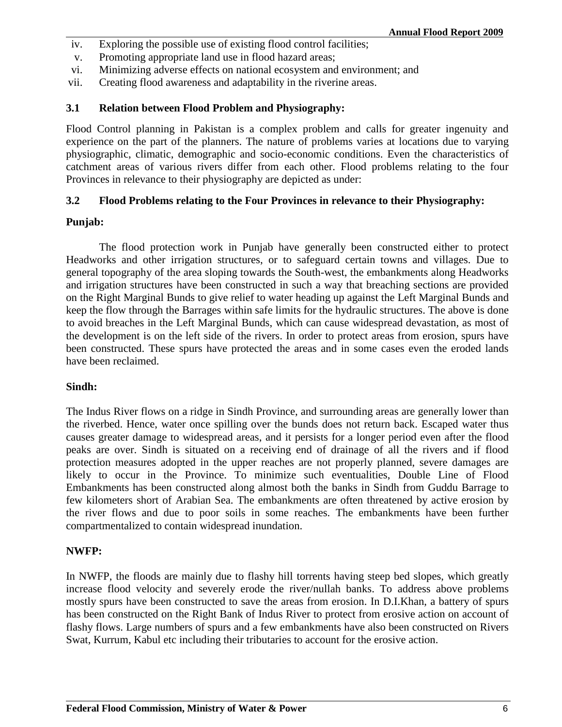- iv. Exploring the possible use of existing flood control facilities;
- v. Promoting appropriate land use in flood hazard areas;
- vi. Minimizing adverse effects on national ecosystem and environment; and
- vii. Creating flood awareness and adaptability in the riverine areas.

### **3.1 Relation between Flood Problem and Physiography:**

Flood Control planning in Pakistan is a complex problem and calls for greater ingenuity and experience on the part of the planners. The nature of problems varies at locations due to varying physiographic, climatic, demographic and socio-economic conditions. Even the characteristics of catchment areas of various rivers differ from each other. Flood problems relating to the four Provinces in relevance to their physiography are depicted as under:

### **3.2 Flood Problems relating to the Four Provinces in relevance to their Physiography:**

#### **Punjab:**

The flood protection work in Punjab have generally been constructed either to protect Headworks and other irrigation structures, or to safeguard certain towns and villages. Due to general topography of the area sloping towards the South-west, the embankments along Headworks and irrigation structures have been constructed in such a way that breaching sections are provided on the Right Marginal Bunds to give relief to water heading up against the Left Marginal Bunds and keep the flow through the Barrages within safe limits for the hydraulic structures. The above is done to avoid breaches in the Left Marginal Bunds, which can cause widespread devastation, as most of the development is on the left side of the rivers. In order to protect areas from erosion, spurs have been constructed. These spurs have protected the areas and in some cases even the eroded lands have been reclaimed.

### **Sindh:**

The Indus River flows on a ridge in Sindh Province, and surrounding areas are generally lower than the riverbed. Hence, water once spilling over the bunds does not return back. Escaped water thus causes greater damage to widespread areas, and it persists for a longer period even after the flood peaks are over. Sindh is situated on a receiving end of drainage of all the rivers and if flood protection measures adopted in the upper reaches are not properly planned, severe damages are likely to occur in the Province. To minimize such eventualities, Double Line of Flood Embankments has been constructed along almost both the banks in Sindh from Guddu Barrage to few kilometers short of Arabian Sea. The embankments are often threatened by active erosion by the river flows and due to poor soils in some reaches. The embankments have been further compartmentalized to contain widespread inundation.

#### **NWFP:**

In NWFP, the floods are mainly due to flashy hill torrents having steep bed slopes, which greatly increase flood velocity and severely erode the river/nullah banks. To address above problems mostly spurs have been constructed to save the areas from erosion. In D.I.Khan, a battery of spurs has been constructed on the Right Bank of Indus River to protect from erosive action on account of flashy flows. Large numbers of spurs and a few embankments have also been constructed on Rivers Swat, Kurrum, Kabul etc including their tributaries to account for the erosive action.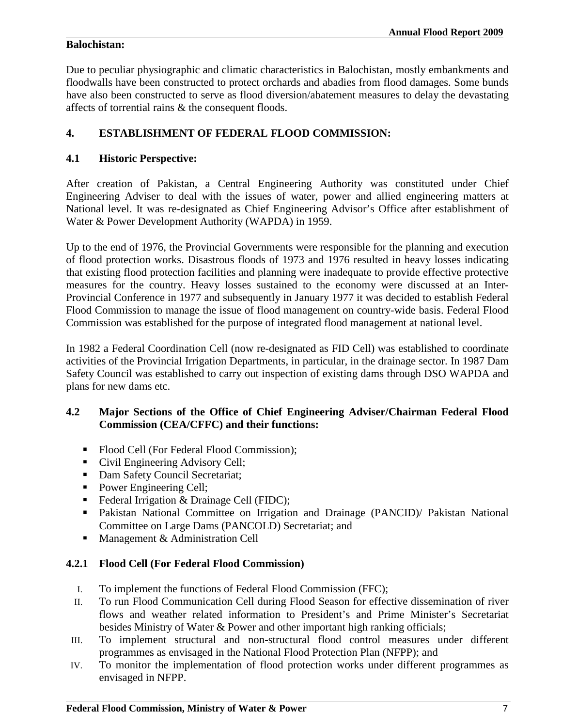### **Balochistan:**

Due to peculiar physiographic and climatic characteristics in Balochistan, mostly embankments and floodwalls have been constructed to protect orchards and abadies from flood damages. Some bunds have also been constructed to serve as flood diversion/abatement measures to delay the devastating affects of torrential rains & the consequent floods.

## **4. ESTABLISHMENT OF FEDERAL FLOOD COMMISSION:**

### **4.1 Historic Perspective:**

After creation of Pakistan, a Central Engineering Authority was constituted under Chief Engineering Adviser to deal with the issues of water, power and allied engineering matters at National level. It was re-designated as Chief Engineering Advisor's Office after establishment of Water & Power Development Authority (WAPDA) in 1959.

Up to the end of 1976, the Provincial Governments were responsible for the planning and execution of flood protection works. Disastrous floods of 1973 and 1976 resulted in heavy losses indicating that existing flood protection facilities and planning were inadequate to provide effective protective measures for the country. Heavy losses sustained to the economy were discussed at an Inter-Provincial Conference in 1977 and subsequently in January 1977 it was decided to establish Federal Flood Commission to manage the issue of flood management on country-wide basis. Federal Flood Commission was established for the purpose of integrated flood management at national level.

In 1982 a Federal Coordination Cell (now re-designated as FID Cell) was established to coordinate activities of the Provincial Irrigation Departments, in particular, in the drainage sector. In 1987 Dam Safety Council was established to carry out inspection of existing dams through DSO WAPDA and plans for new dams etc.

### **4.2 Major Sections of the Office of Chief Engineering Adviser/Chairman Federal Flood Commission (CEA/CFFC) and their functions:**

- Flood Cell (For Federal Flood Commission);
- Civil Engineering Advisory Cell;
- Dam Safety Council Secretariat;
- Power Engineering Cell;
- Federal Irrigation & Drainage Cell (FIDC);
- Pakistan National Committee on Irrigation and Drainage (PANCID)/ Pakistan National Committee on Large Dams (PANCOLD) Secretariat; and
- **Management & Administration Cell**

### **4.2.1 Flood Cell (For Federal Flood Commission)**

- I. To implement the functions of Federal Flood Commission (FFC);
- II. To run Flood Communication Cell during Flood Season for effective dissemination of river flows and weather related information to President's and Prime Minister's Secretariat besides Ministry of Water & Power and other important high ranking officials;
- III. To implement structural and non-structural flood control measures under different programmes as envisaged in the National Flood Protection Plan (NFPP); and
- IV. To monitor the implementation of flood protection works under different programmes as envisaged in NFPP.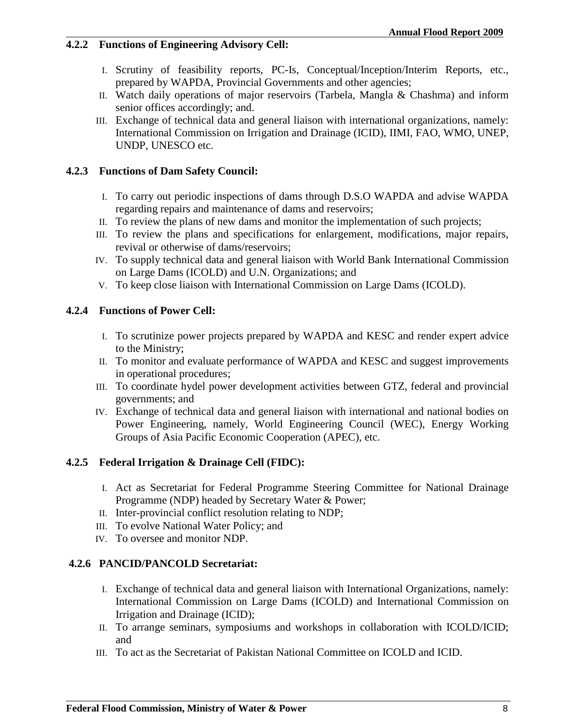### **4.2.2 Functions of Engineering Advisory Cell:**

- I. Scrutiny of feasibility reports, PC-Is, Conceptual/Inception/Interim Reports, etc., prepared by WAPDA, Provincial Governments and other agencies;
- II. Watch daily operations of major reservoirs (Tarbela, Mangla & Chashma) and inform senior offices accordingly; and.
- III. Exchange of technical data and general liaison with international organizations, namely: International Commission on Irrigation and Drainage (ICID), IIMI, FAO, WMO, UNEP, UNDP, UNESCO etc.

### **4.2.3 Functions of Dam Safety Council:**

- I. To carry out periodic inspections of dams through D.S.O WAPDA and advise WAPDA regarding repairs and maintenance of dams and reservoirs;
- II. To review the plans of new dams and monitor the implementation of such projects;
- III. To review the plans and specifications for enlargement, modifications, major repairs, revival or otherwise of dams/reservoirs;
- IV. To supply technical data and general liaison with World Bank International Commission on Large Dams (ICOLD) and U.N. Organizations; and
- V. To keep close liaison with International Commission on Large Dams (ICOLD).

### **4.2.4 Functions of Power Cell:**

- I. To scrutinize power projects prepared by WAPDA and KESC and render expert advice to the Ministry;
- II. To monitor and evaluate performance of WAPDA and KESC and suggest improvements in operational procedures;
- III. To coordinate hydel power development activities between GTZ, federal and provincial governments; and
- IV. Exchange of technical data and general liaison with international and national bodies on Power Engineering, namely, World Engineering Council (WEC), Energy Working Groups of Asia Pacific Economic Cooperation (APEC), etc.

### **4.2.5 Federal Irrigation & Drainage Cell (FIDC):**

- I. Act as Secretariat for Federal Programme Steering Committee for National Drainage Programme (NDP) headed by Secretary Water & Power;
- II. Inter-provincial conflict resolution relating to NDP;
- III. To evolve National Water Policy; and
- IV. To oversee and monitor NDP.

#### **4.2.6 PANCID/PANCOLD Secretariat:**

- I. Exchange of technical data and general liaison with International Organizations, namely: International Commission on Large Dams (ICOLD) and International Commission on Irrigation and Drainage (ICID);
- II. To arrange seminars, symposiums and workshops in collaboration with ICOLD/ICID; and
- III. To act as the Secretariat of Pakistan National Committee on ICOLD and ICID.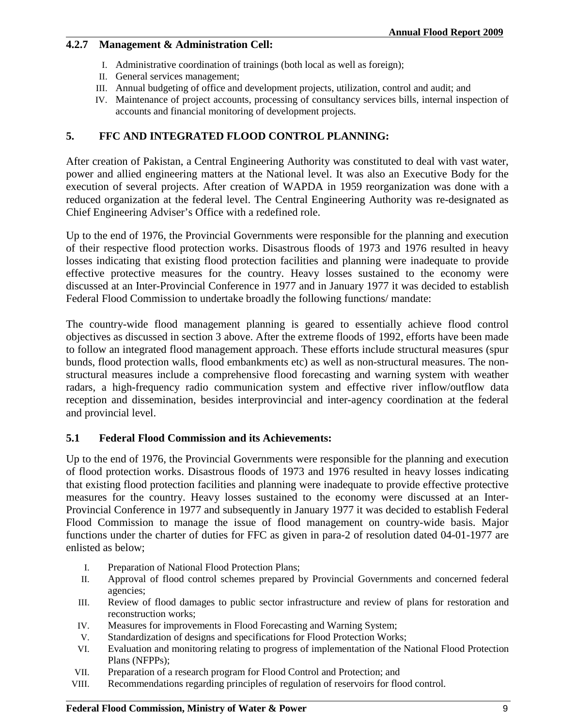### **4.2.7 Management & Administration Cell:**

- I. Administrative coordination of trainings (both local as well as foreign);
- II. General services management;
- III. Annual budgeting of office and development projects, utilization, control and audit; and
- IV. Maintenance of project accounts, processing of consultancy services bills, internal inspection of accounts and financial monitoring of development projects.

### **5. FFC AND INTEGRATED FLOOD CONTROL PLANNING:**

After creation of Pakistan, a Central Engineering Authority was constituted to deal with vast water, power and allied engineering matters at the National level. It was also an Executive Body for the execution of several projects. After creation of WAPDA in 1959 reorganization was done with a reduced organization at the federal level. The Central Engineering Authority was re-designated as Chief Engineering Adviser's Office with a redefined role.

Up to the end of 1976, the Provincial Governments were responsible for the planning and execution of their respective flood protection works. Disastrous floods of 1973 and 1976 resulted in heavy losses indicating that existing flood protection facilities and planning were inadequate to provide effective protective measures for the country. Heavy losses sustained to the economy were discussed at an Inter-Provincial Conference in 1977 and in January 1977 it was decided to establish Federal Flood Commission to undertake broadly the following functions/ mandate:

The country-wide flood management planning is geared to essentially achieve flood control objectives as discussed in section 3 above. After the extreme floods of 1992, efforts have been made to follow an integrated flood management approach. These efforts include structural measures (spur bunds, flood protection walls, flood embankments etc) as well as non-structural measures. The nonstructural measures include a comprehensive flood forecasting and warning system with weather radars, a high-frequency radio communication system and effective river inflow/outflow data reception and dissemination, besides interprovincial and inter-agency coordination at the federal and provincial level.

### **5.1 Federal Flood Commission and its Achievements:**

Up to the end of 1976, the Provincial Governments were responsible for the planning and execution of flood protection works. Disastrous floods of 1973 and 1976 resulted in heavy losses indicating that existing flood protection facilities and planning were inadequate to provide effective protective measures for the country. Heavy losses sustained to the economy were discussed at an Inter-Provincial Conference in 1977 and subsequently in January 1977 it was decided to establish Federal Flood Commission to manage the issue of flood management on country-wide basis. Major functions under the charter of duties for FFC as given in para-2 of resolution dated 04-01-1977 are enlisted as below;

- I. Preparation of National Flood Protection Plans;
- II. Approval of flood control schemes prepared by Provincial Governments and concerned federal agencies;
- III. Review of flood damages to public sector infrastructure and review of plans for restoration and reconstruction works;
- IV. Measures for improvements in Flood Forecasting and Warning System;
- V. Standardization of designs and specifications for Flood Protection Works;
- VI. Evaluation and monitoring relating to progress of implementation of the National Flood Protection Plans (NFPPs);
- VII. Preparation of a research program for Flood Control and Protection; and
- VIII. Recommendations regarding principles of regulation of reservoirs for flood control.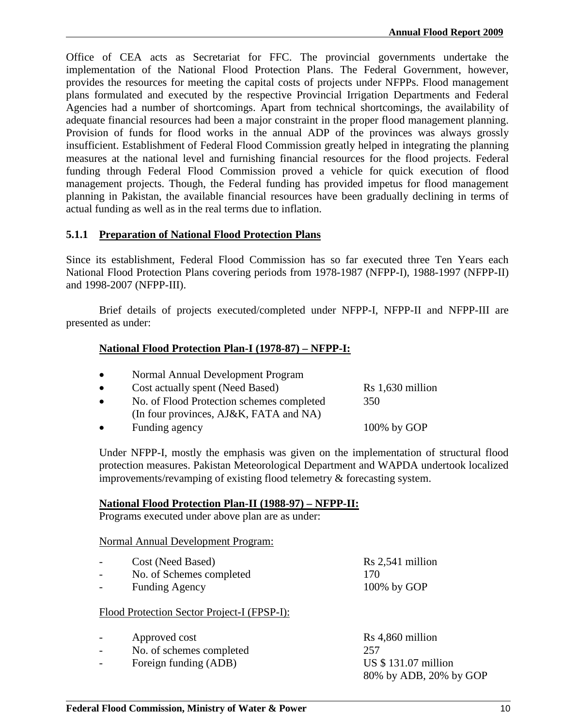Office of CEA acts as Secretariat for FFC. The provincial governments undertake the implementation of the National Flood Protection Plans. The Federal Government, however, provides the resources for meeting the capital costs of projects under NFPPs. Flood management plans formulated and executed by the respective Provincial Irrigation Departments and Federal Agencies had a number of shortcomings. Apart from technical shortcomings, the availability of adequate financial resources had been a major constraint in the proper flood management planning. Provision of funds for flood works in the annual ADP of the provinces was always grossly insufficient. Establishment of Federal Flood Commission greatly helped in integrating the planning measures at the national level and furnishing financial resources for the flood projects. Federal funding through Federal Flood Commission proved a vehicle for quick execution of flood management projects. Though, the Federal funding has provided impetus for flood management planning in Pakistan, the available financial resources have been gradually declining in terms of actual funding as well as in the real terms due to inflation.

### **5.1.1 Preparation of National Flood Protection Plans**

Since its establishment, Federal Flood Commission has so far executed three Ten Years each National Flood Protection Plans covering periods from 1978-1987 (NFPP-I), 1988-1997 (NFPP-II) and 1998-2007 (NFPP-III).

Brief details of projects executed/completed under NFPP-I, NFPP-II and NFPP-III are presented as under:

### **National Flood Protection Plan-I (1978-87) – NFPP-I:**

| $\bullet$ | Normal Annual Development Program                                                   |                    |
|-----------|-------------------------------------------------------------------------------------|--------------------|
| $\bullet$ | Cost actually spent (Need Based)                                                    | $Rs 1,630$ million |
| $\bullet$ | No. of Flood Protection schemes completed<br>(In four provinces, AJ&K, FATA and NA) | 350                |
| $\bullet$ | Funding agency                                                                      | 100% by GOP        |

Under NFPP-I, mostly the emphasis was given on the implementation of structural flood protection measures. Pakistan Meteorological Department and WAPDA undertook localized improvements/revamping of existing flood telemetry & forecasting system.

#### **National Flood Protection Plan-II (1988-97) – NFPP-II:**

Programs executed under above plan are as under:

#### Normal Annual Development Program:

| $\overline{\phantom{0}}$ | Cost (Need Based)        | $Rs 2,541$ million |
|--------------------------|--------------------------|--------------------|
| $\overline{\phantom{0}}$ | No. of Schemes completed | 170                |
| $\overline{\phantom{0}}$ | <b>Funding Agency</b>    | $100\%$ by GOP     |

#### Flood Protection Sector Project-I (FPSP-I):

| $\overline{\phantom{0}}$ | Approved cost            | $Rs 4,860$ million     |
|--------------------------|--------------------------|------------------------|
| $\overline{\phantom{0}}$ | No. of schemes completed | 257                    |
|                          | Foreign funding (ADB)    | US \$131.07 million    |
|                          |                          | 80% by ADB, 20% by GOP |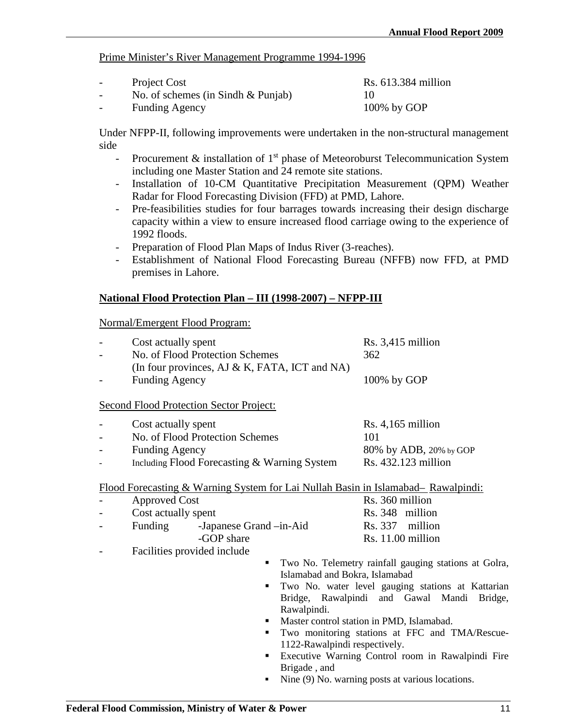#### Prime Minister's River Management Programme 1994-1996

| $\overline{\phantom{0}}$ | Project Cost                          | Rs. 613.384 million |
|--------------------------|---------------------------------------|---------------------|
| $\overline{\phantom{0}}$ | No. of schemes (in Sindh $& Punjab$ ) |                     |
| $\overline{\phantom{0}}$ | <b>Funding Agency</b>                 | $100\%$ by GOP      |

Under NFPP-II, following improvements were undertaken in the non-structural management side

- Procurement  $\&$  installation of 1<sup>st</sup> phase of Meteoroburst Telecommunication System including one Master Station and 24 remote site stations.
- Installation of 10-CM Quantitative Precipitation Measurement (QPM) Weather Radar for Flood Forecasting Division (FFD) at PMD, Lahore.
- Pre-feasibilities studies for four barrages towards increasing their design discharge capacity within a view to ensure increased flood carriage owing to the experience of 1992 floods.
- Preparation of Flood Plan Maps of Indus River (3-reaches).
- Establishment of National Flood Forecasting Bureau (NFFB) now FFD, at PMD premises in Lahore.

### **National Flood Protection Plan – III (1998-2007) – NFPP-III**

Normal/Emergent Flood Program:

| Cost actually spent<br>No. of Flood Protection Schemes<br>(In four provinces, AJ $\&$ K, FATA, ICT and NA)                      |                                | Rs. 3,415 million<br>362                                                    |
|---------------------------------------------------------------------------------------------------------------------------------|--------------------------------|-----------------------------------------------------------------------------|
| <b>Funding Agency</b>                                                                                                           |                                | 100% by GOP                                                                 |
| <b>Second Flood Protection Sector Project:</b>                                                                                  |                                |                                                                             |
| Cost actually spent<br>No. of Flood Protection Schemes<br><b>Funding Agency</b><br>Including Flood Forecasting & Warning System |                                | $Rs. 4,165$ million<br>101<br>80% by ADB, 20% by GOP<br>Rs. 432.123 million |
| Flood Forecasting & Warning System for Lai Nullah Basin in Islamabad– Rawalpindi:                                               |                                |                                                                             |
| <b>Approved Cost</b>                                                                                                            |                                | Rs. 360 million                                                             |
| Cost actually spent                                                                                                             |                                | Rs. 348 million                                                             |
| Funding<br>-Japanese Grand -in-Aid                                                                                              |                                | Rs. 337 million                                                             |
| -GOP share                                                                                                                      |                                | Rs. 11.00 million                                                           |
| Facilities provided include                                                                                                     |                                |                                                                             |
|                                                                                                                                 |                                | Two No. Telemetry rainfall gauging stations at Golra,                       |
|                                                                                                                                 | Islamabad and Bokra, Islamabad |                                                                             |
| ٠                                                                                                                               |                                | Two No. water level gauging stations at Kattarian                           |
|                                                                                                                                 |                                | Bridge, Rawalpindi and Gawal Mandi<br>Bridge,                               |
|                                                                                                                                 | Rawalpindi.                    |                                                                             |
|                                                                                                                                 |                                | Master control station in PMD, Islamabad.                                   |
| ٠                                                                                                                               |                                | Two monitoring stations at FFC and TMA/Rescue-                              |
|                                                                                                                                 | 1122-Rawalpindi respectively.  |                                                                             |
| ٠                                                                                                                               |                                | Executive Warning Control room in Rawalpindi Fire                           |
|                                                                                                                                 | Brigade, and                   |                                                                             |
| ٠                                                                                                                               |                                | Nine (9) No. warning posts at various locations.                            |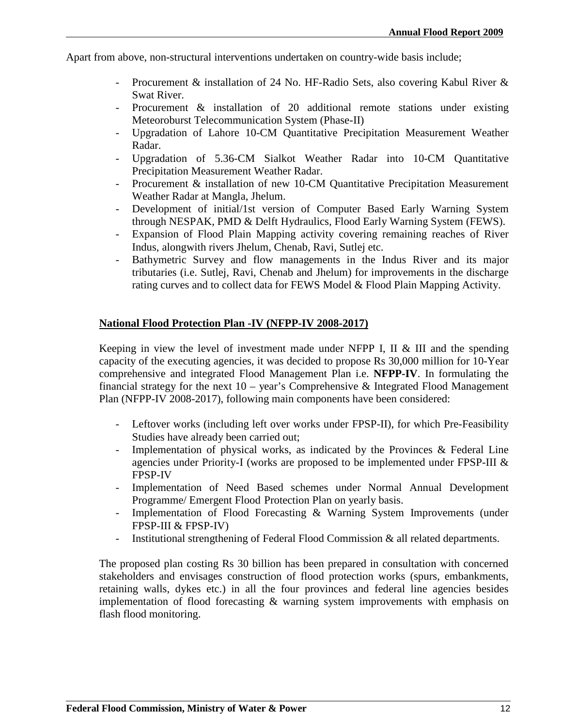Apart from above, non-structural interventions undertaken on country-wide basis include;

- Procurement & installation of 24 No. HF-Radio Sets, also covering Kabul River & Swat River.
- Procurement & installation of 20 additional remote stations under existing Meteoroburst Telecommunication System (Phase-II)
- Upgradation of Lahore 10-CM Quantitative Precipitation Measurement Weather Radar.
- Upgradation of 5.36-CM Sialkot Weather Radar into 10-CM Quantitative Precipitation Measurement Weather Radar.
- Procurement & installation of new 10-CM Quantitative Precipitation Measurement Weather Radar at Mangla, Jhelum.
- Development of initial/1st version of Computer Based Early Warning System through NESPAK, PMD & Delft Hydraulics, Flood Early Warning System (FEWS).
- Expansion of Flood Plain Mapping activity covering remaining reaches of River Indus, alongwith rivers Jhelum, Chenab, Ravi, Sutlej etc.
- Bathymetric Survey and flow managements in the Indus River and its major tributaries (i.e. Sutlej, Ravi, Chenab and Jhelum) for improvements in the discharge rating curves and to collect data for FEWS Model & Flood Plain Mapping Activity.

### **National Flood Protection Plan -IV (NFPP-IV 2008-2017)**

Keeping in view the level of investment made under NFPP I, II  $&$  III and the spending capacity of the executing agencies, it was decided to propose Rs 30,000 million for 10-Year comprehensive and integrated Flood Management Plan i.e. **NFPP-IV**. In formulating the financial strategy for the next  $10 - \text{year's}$  Comprehensive & Integrated Flood Management Plan (NFPP-IV 2008-2017), following main components have been considered:

- Leftover works (including left over works under FPSP-II), for which Pre-Feasibility Studies have already been carried out;
- Implementation of physical works, as indicated by the Provinces & Federal Line agencies under Priority-I (works are proposed to be implemented under FPSP-III & FPSP-IV
- Implementation of Need Based schemes under Normal Annual Development Programme/ Emergent Flood Protection Plan on yearly basis.
- Implementation of Flood Forecasting & Warning System Improvements (under FPSP-III & FPSP-IV)
- Institutional strengthening of Federal Flood Commission & all related departments.

The proposed plan costing Rs 30 billion has been prepared in consultation with concerned stakeholders and envisages construction of flood protection works (spurs, embankments, retaining walls, dykes etc.) in all the four provinces and federal line agencies besides implementation of flood forecasting  $\&$  warning system improvements with emphasis on flash flood monitoring.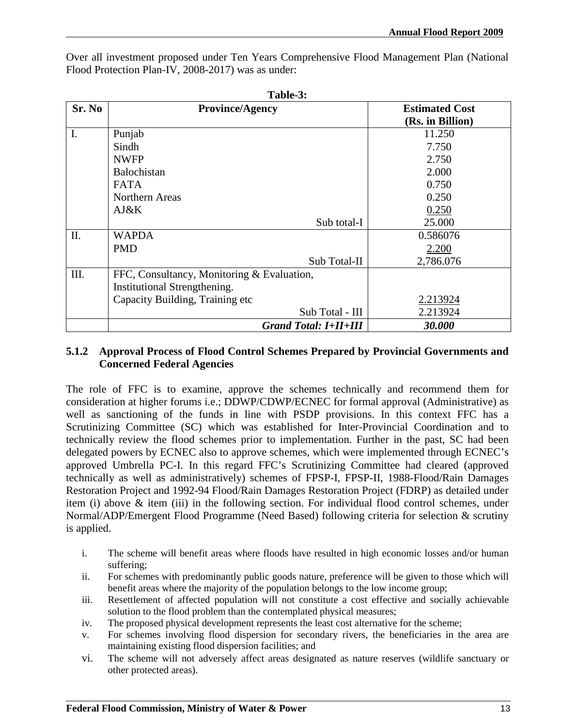Over all investment proposed under Ten Years Comprehensive Flood Management Plan (National Flood Protection Plan-IV, 2008-2017) was as under:

| Table-3: |                                            |                       |  |  |
|----------|--------------------------------------------|-----------------------|--|--|
| Sr. No   | <b>Province/Agency</b>                     | <b>Estimated Cost</b> |  |  |
|          |                                            | (Rs. in Billion)      |  |  |
| I.       | Punjab                                     | 11.250                |  |  |
|          | Sindh                                      | 7.750                 |  |  |
|          | <b>NWFP</b>                                | 2.750                 |  |  |
|          | Balochistan                                | 2.000                 |  |  |
|          | <b>FATA</b>                                | 0.750                 |  |  |
|          | Northern Areas                             | 0.250                 |  |  |
|          | $A J \& K$                                 | 0.250                 |  |  |
|          | Sub total-I                                | 25.000                |  |  |
| Π.       | <b>WAPDA</b>                               | 0.586076              |  |  |
|          | <b>PMD</b>                                 | 2.200                 |  |  |
|          | Sub Total-II                               | 2,786.076             |  |  |
| III.     | FFC, Consultancy, Monitoring & Evaluation, |                       |  |  |
|          | Institutional Strengthening.               |                       |  |  |
|          | Capacity Building, Training etc            | 2.213924              |  |  |
|          | Sub Total - III                            | 2.213924              |  |  |
|          | <b>Grand Total: I+II+III</b>               | 30.000                |  |  |

**5.1.2 Approval Process of Flood Control Schemes Prepared by Provincial Governments and Concerned Federal Agencies**

The role of FFC is to examine, approve the schemes technically and recommend them for consideration at higher forums i.e.; DDWP/CDWP/ECNEC for formal approval (Administrative) as well as sanctioning of the funds in line with PSDP provisions. In this context FFC has a Scrutinizing Committee (SC) which was established for Inter-Provincial Coordination and to technically review the flood schemes prior to implementation. Further in the past, SC had been delegated powers by ECNEC also to approve schemes, which were implemented through ECNEC's approved Umbrella PC-I. In this regard FFC's Scrutinizing Committee had cleared (approved technically as well as administratively) schemes of FPSP-I, FPSP-II, 1988-Flood/Rain Damages Restoration Project and 1992-94 Flood/Rain Damages Restoration Project (FDRP) as detailed under item (i) above & item (iii) in the following section. For individual flood control schemes, under Normal/ADP/Emergent Flood Programme (Need Based) following criteria for selection & scrutiny is applied.

- i. The scheme will benefit areas where floods have resulted in high economic losses and/or human suffering;
- ii. For schemes with predominantly public goods nature, preference will be given to those which will benefit areas where the majority of the population belongs to the low income group;
- iii. Resettlement of affected population will not constitute a cost effective and socially achievable solution to the flood problem than the contemplated physical measures;
- iv. The proposed physical development represents the least cost alternative for the scheme;
- v. For schemes involving flood dispersion for secondary rivers, the beneficiaries in the area are maintaining existing flood dispersion facilities; and
- vi. The scheme will not adversely affect areas designated as nature reserves (wildlife sanctuary or other protected areas).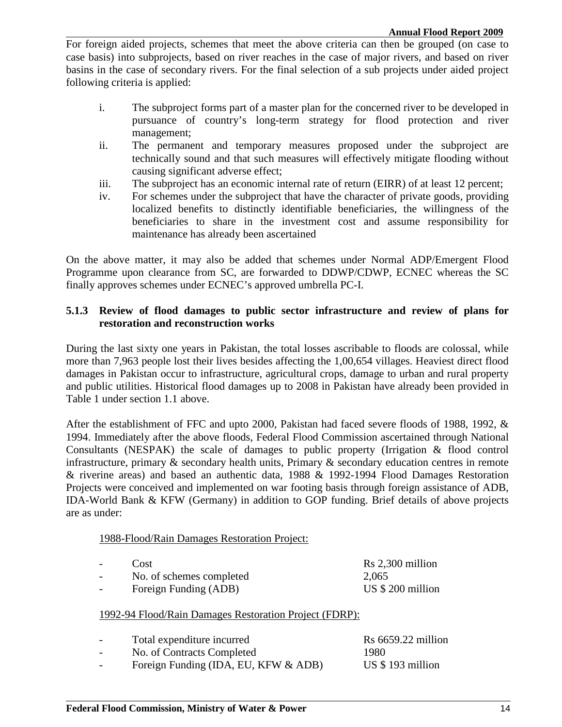For foreign aided projects, schemes that meet the above criteria can then be grouped (on case to case basis) into subprojects, based on river reaches in the case of major rivers, and based on river basins in the case of secondary rivers. For the final selection of a sub projects under aided project following criteria is applied:

- i. The subproject forms part of a master plan for the concerned river to be developed in pursuance of country's long-term strategy for flood protection and river management;
- ii. The permanent and temporary measures proposed under the subproject are technically sound and that such measures will effectively mitigate flooding without causing significant adverse effect;
- iii. The subproject has an economic internal rate of return (EIRR) of at least 12 percent;
- iv. For schemes under the subproject that have the character of private goods, providing localized benefits to distinctly identifiable beneficiaries, the willingness of the beneficiaries to share in the investment cost and assume responsibility for maintenance has already been ascertained

On the above matter, it may also be added that schemes under Normal ADP/Emergent Flood Programme upon clearance from SC, are forwarded to DDWP/CDWP, ECNEC whereas the SC finally approves schemes under ECNEC's approved umbrella PC-I.

### **5.1.3 Review of flood damages to public sector infrastructure and review of plans for restoration and reconstruction works**

During the last sixty one years in Pakistan, the total losses ascribable to floods are colossal, while more than 7,963 people lost their lives besides affecting the 1,00,654 villages. Heaviest direct flood damages in Pakistan occur to infrastructure, agricultural crops, damage to urban and rural property and public utilities. Historical flood damages up to 2008 in Pakistan have already been provided in Table 1 under section 1.1 above.

After the establishment of FFC and upto 2000, Pakistan had faced severe floods of 1988, 1992, & 1994. Immediately after the above floods, Federal Flood Commission ascertained through National Consultants (NESPAK) the scale of damages to public property (Irrigation & flood control infrastructure, primary & secondary health units, Primary & secondary education centres in remote & riverine areas) and based an authentic data, 1988 & 1992-1994 Flood Damages Restoration Projects were conceived and implemented on war footing basis through foreign assistance of ADB, IDA-World Bank & KFW (Germany) in addition to GOP funding. Brief details of above projects are as under:

#### 1988-Flood/Rain Damages Restoration Project:

| $\overline{\phantom{0}}$ | Cost                     | Rs 2,300 million |
|--------------------------|--------------------------|------------------|
| $\overline{\phantom{0}}$ | No. of schemes completed | 2,065            |
| $\overline{\phantom{0}}$ | Foreign Funding (ADB)    | US \$200 million |

#### 1992-94 Flood/Rain Damages Restoration Project (FDRP):

| $\overline{\phantom{0}}$ | Total expenditure incurred           | $Rs 6659.22$ million |
|--------------------------|--------------------------------------|----------------------|
| $\overline{\phantom{0}}$ | No. of Contracts Completed           | 1980                 |
| $\overline{\phantom{0}}$ | Foreign Funding (IDA, EU, KFW & ADB) | US \$193 million     |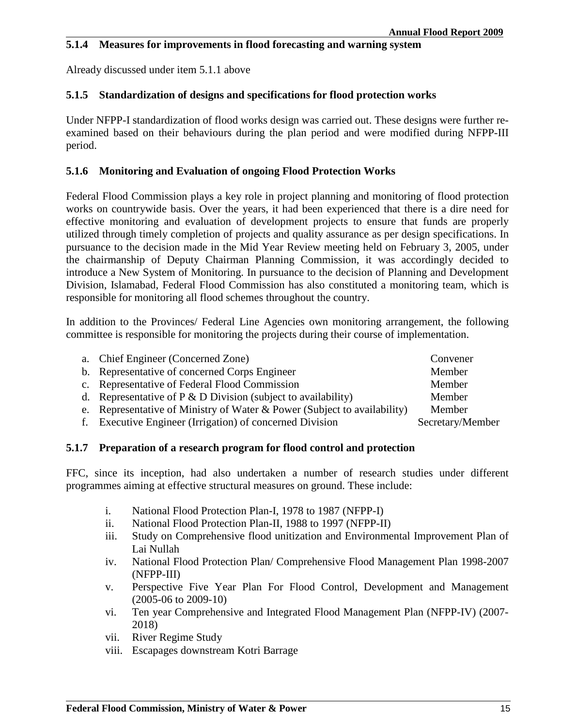### **5.1.4 Measures for improvements in flood forecasting and warning system**

Already discussed under item 5.1.1 above

### **5.1.5 Standardization of designs and specifications for flood protection works**

Under NFPP-I standardization of flood works design was carried out. These designs were further reexamined based on their behaviours during the plan period and were modified during NFPP-III period.

### **5.1.6 Monitoring and Evaluation of ongoing Flood Protection Works**

Federal Flood Commission plays a key role in project planning and monitoring of flood protection works on countrywide basis. Over the years, it had been experienced that there is a dire need for effective monitoring and evaluation of development projects to ensure that funds are properly utilized through timely completion of projects and quality assurance as per design specifications. In pursuance to the decision made in the Mid Year Review meeting held on February 3, 2005, under the chairmanship of Deputy Chairman Planning Commission, it was accordingly decided to introduce a New System of Monitoring. In pursuance to the decision of Planning and Development Division, Islamabad, Federal Flood Commission has also constituted a monitoring team, which is responsible for monitoring all flood schemes throughout the country.

In addition to the Provinces/ Federal Line Agencies own monitoring arrangement, the following committee is responsible for monitoring the projects during their course of implementation.

| a. Chief Engineer (Concerned Zone)                                       | Convener         |
|--------------------------------------------------------------------------|------------------|
| b. Representative of concerned Corps Engineer                            | Member           |
| c. Representative of Federal Flood Commission                            | Member           |
| d. Representative of $P \& D$ Division (subject to availability)         | Member           |
| e. Representative of Ministry of Water & Power (Subject to availability) | Member           |
| f. Executive Engineer (Irrigation) of concerned Division                 | Secretary/Member |

#### **5.1.7 Preparation of a research program for flood control and protection**

FFC, since its inception, had also undertaken a number of research studies under different programmes aiming at effective structural measures on ground. These include:

- i. National Flood Protection Plan-I, 1978 to 1987 (NFPP-I)
- ii. National Flood Protection Plan-II, 1988 to 1997 (NFPP-II)
- iii. Study on Comprehensive flood unitization and Environmental Improvement Plan of Lai Nullah
- iv. National Flood Protection Plan/ Comprehensive Flood Management Plan 1998-2007 (NFPP-III)
- v. Perspective Five Year Plan For Flood Control, Development and Management (2005-06 to 2009-10)
- vi. Ten year Comprehensive and Integrated Flood Management Plan (NFPP-IV) (2007- 2018)
- vii. River Regime Study
- viii. Escapages downstream Kotri Barrage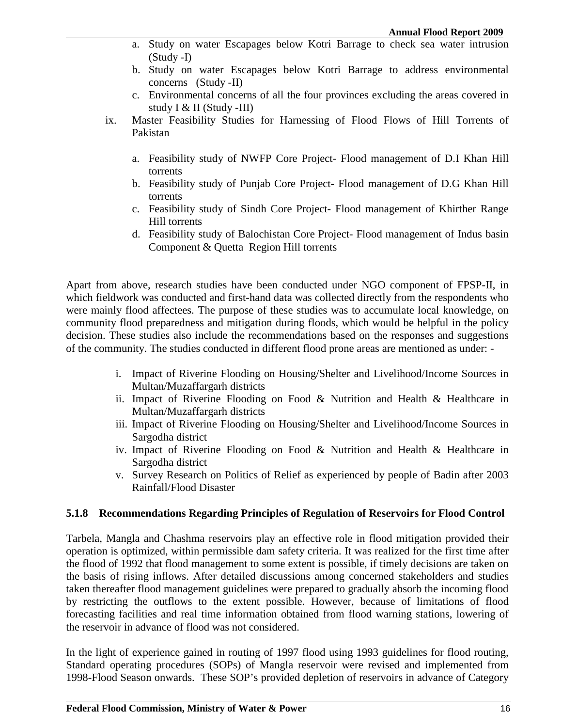- a. Study on water Escapages below Kotri Barrage to check sea water intrusion (Study -I)
- b. Study on water Escapages below Kotri Barrage to address environmental concerns (Study -II)
- c. Environmental concerns of all the four provinces excluding the areas covered in study I & II (Study -III)
- ix. Master Feasibility Studies for Harnessing of Flood Flows of Hill Torrents of Pakistan
	- a. Feasibility study of NWFP Core Project- Flood management of D.I Khan Hill torrents
	- b. Feasibility study of Punjab Core Project- Flood management of D.G Khan Hill torrents
	- c. Feasibility study of Sindh Core Project- Flood management of Khirther Range Hill torrents
	- d. Feasibility study of Balochistan Core Project- Flood management of Indus basin Component & Quetta Region Hill torrents

Apart from above, research studies have been conducted under NGO component of FPSP-II, in which fieldwork was conducted and first-hand data was collected directly from the respondents who were mainly flood affectees. The purpose of these studies was to accumulate local knowledge, on community flood preparedness and mitigation during floods, which would be helpful in the policy decision. These studies also include the recommendations based on the responses and suggestions of the community. The studies conducted in different flood prone areas are mentioned as under: -

- i. Impact of Riverine Flooding on Housing/Shelter and Livelihood/Income Sources in Multan/Muzaffargarh districts
- ii. Impact of Riverine Flooding on Food & Nutrition and Health & Healthcare in Multan/Muzaffargarh districts
- iii. Impact of Riverine Flooding on Housing/Shelter and Livelihood/Income Sources in Sargodha district
- iv. Impact of Riverine Flooding on Food & Nutrition and Health & Healthcare in Sargodha district
- v. Survey Research on Politics of Relief as experienced by people of Badin after 2003 Rainfall/Flood Disaster

### **5.1.8 Recommendations Regarding Principles of Regulation of Reservoirs for Flood Control**

Tarbela, Mangla and Chashma reservoirs play an effective role in flood mitigation provided their operation is optimized, within permissible dam safety criteria. It was realized for the first time after the flood of 1992 that flood management to some extent is possible, if timely decisions are taken on the basis of rising inflows. After detailed discussions among concerned stakeholders and studies taken thereafter flood management guidelines were prepared to gradually absorb the incoming flood by restricting the outflows to the extent possible. However, because of limitations of flood forecasting facilities and real time information obtained from flood warning stations, lowering of the reservoir in advance of flood was not considered.

In the light of experience gained in routing of 1997 flood using 1993 guidelines for flood routing, Standard operating procedures (SOPs) of Mangla reservoir were revised and implemented from 1998-Flood Season onwards. These SOP's provided depletion of reservoirs in advance of Category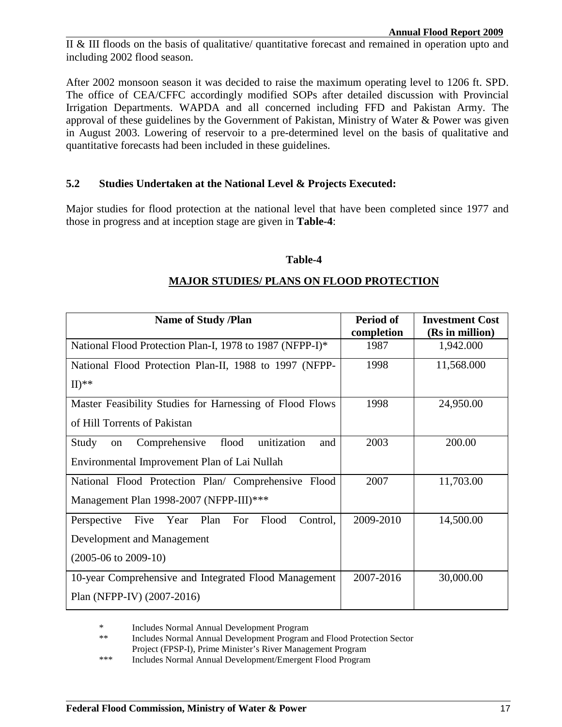II & III floods on the basis of qualitative/ quantitative forecast and remained in operation upto and including 2002 flood season.

After 2002 monsoon season it was decided to raise the maximum operating level to 1206 ft. SPD. The office of CEA/CFFC accordingly modified SOPs after detailed discussion with Provincial Irrigation Departments. WAPDA and all concerned including FFD and Pakistan Army. The approval of these guidelines by the Government of Pakistan, Ministry of Water & Power was given in August 2003. Lowering of reservoir to a pre-determined level on the basis of qualitative and quantitative forecasts had been included in these guidelines.

### **5.2 Studies Undertaken at the National Level & Projects Executed:**

Major studies for flood protection at the national level that have been completed since 1977 and those in progress and at inception stage are given in **Table-4**:

#### **Table-4**

### **MAJOR STUDIES/ PLANS ON FLOOD PROTECTION**

| <b>Name of Study /Plan</b>                                      | Period of  | <b>Investment Cost</b> |
|-----------------------------------------------------------------|------------|------------------------|
|                                                                 | completion | (Rs in million)        |
| National Flood Protection Plan-I, 1978 to 1987 (NFPP-I)*        | 1987       | 1,942.000              |
| National Flood Protection Plan-II, 1988 to 1997 (NFPP-          | 1998       | 11,568.000             |
| $\mathbf{H})^{**}$                                              |            |                        |
| Master Feasibility Studies for Harnessing of Flood Flows        | 1998       | 24,950.00              |
| of Hill Torrents of Pakistan                                    |            |                        |
| unitization<br>flood<br>Comprehensive<br>Study<br>and<br>on     | 2003       | 200.00                 |
| Environmental Improvement Plan of Lai Nullah                    |            |                        |
| National Flood Protection Plan/ Comprehensive Flood             | 2007       | 11,703.00              |
| Management Plan 1998-2007 (NFPP-III)***                         |            |                        |
| Plan<br>Five<br>Year<br>For<br>Flood<br>Control,<br>Perspective | 2009-2010  | 14,500.00              |
| Development and Management                                      |            |                        |
| $(2005-06 \text{ to } 2009-10)$                                 |            |                        |
| 10-year Comprehensive and Integrated Flood Management           | 2007-2016  | 30,000.00              |
| Plan (NFPP-IV) (2007-2016)                                      |            |                        |

\* Includes Normal Annual Development Program

\*\* Includes Normal Annual Development Program and Flood Protection Sector Project (FPSP-I), Prime Minister's River Management Program

\*\*\* Includes Normal Annual Development/Emergent Flood Program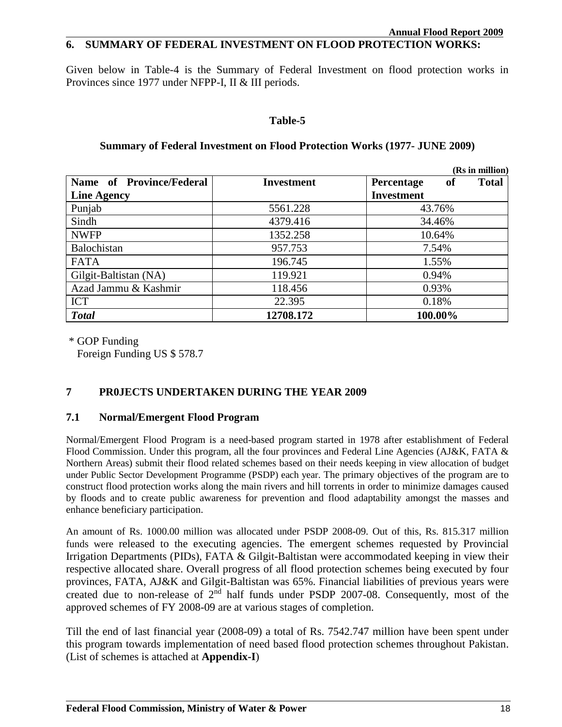## **6. SUMMARY OF FEDERAL INVESTMENT ON FLOOD PROTECTION WORKS:**

Given below in Table-4 is the Summary of Federal Investment on flood protection works in Provinces since 1977 under NFPP-I, II & III periods.

### **Table-5**

|                          |            | (Rs in million)                         |  |  |  |
|--------------------------|------------|-----------------------------------------|--|--|--|
| Name of Province/Federal | Investment | <b>Total</b><br><b>Percentage</b><br>0ľ |  |  |  |
| <b>Line Agency</b>       |            | <b>Investment</b>                       |  |  |  |
| Punjab                   | 5561.228   | 43.76%                                  |  |  |  |
| Sindh                    | 4379.416   | 34.46%                                  |  |  |  |
| <b>NWFP</b>              | 1352.258   | 10.64%                                  |  |  |  |
| Balochistan              | 957.753    | 7.54%                                   |  |  |  |
| <b>FATA</b>              | 196.745    | 1.55%                                   |  |  |  |
| Gilgit-Baltistan (NA)    | 119.921    | 0.94%                                   |  |  |  |
| Azad Jammu & Kashmir     | 118.456    | 0.93%                                   |  |  |  |
| <b>ICT</b>               | 22.395     | 0.18%                                   |  |  |  |
| <b>Total</b>             | 12708.172  | 100.00%                                 |  |  |  |

### **Summary of Federal Investment on Flood Protection Works (1977- JUNE 2009)**

\* GOP Funding

Foreign Funding US \$ 578.7

## **7 PR0JECTS UNDERTAKEN DURING THE YEAR 2009**

### **7.1 Normal/Emergent Flood Program**

Normal/Emergent Flood Program is a need-based program started in 1978 after establishment of Federal Flood Commission. Under this program, all the four provinces and Federal Line Agencies (AJ&K, FATA & Northern Areas) submit their flood related schemes based on their needs keeping in view allocation of budget under Public Sector Development Programme (PSDP) each year. The primary objectives of the program are to construct flood protection works along the main rivers and hill torrents in order to minimize damages caused by floods and to create public awareness for prevention and flood adaptability amongst the masses and enhance beneficiary participation.

An amount of Rs. 1000.00 million was allocated under PSDP 2008-09. Out of this, Rs. 815.317 million funds were released to the executing agencies. The emergent schemes requested by Provincial Irrigation Departments (PIDs), FATA & Gilgit-Baltistan were accommodated keeping in view their respective allocated share. Overall progress of all flood protection schemes being executed by four provinces, FATA, AJ&K and Gilgit-Baltistan was 65%. Financial liabilities of previous years were created due to non-release of  $2<sup>nd</sup>$  half funds under PSDP 2007-08. Consequently, most of the approved schemes of FY 2008-09 are at various stages of completion.

Till the end of last financial year (2008-09) a total of Rs. 7542.747 million have been spent under this program towards implementation of need based flood protection schemes throughout Pakistan. (List of schemes is attached at **Appendix-I**)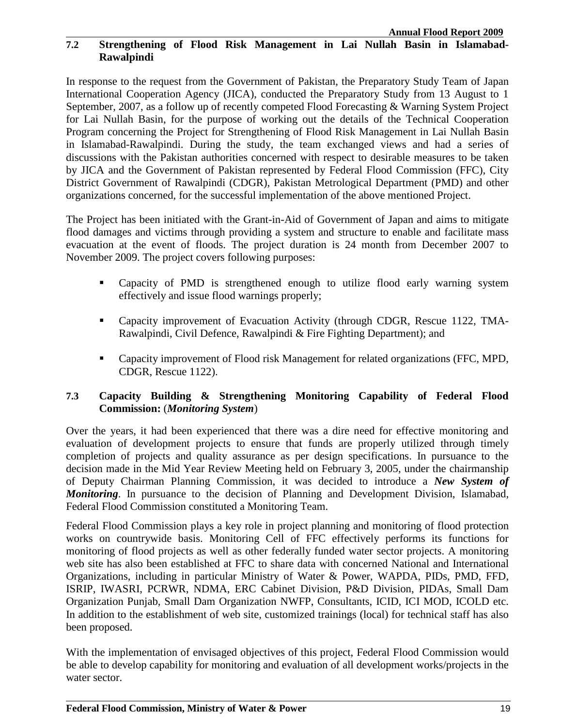### **7.2 Strengthening of Flood Risk Management in Lai Nullah Basin in Islamabad-Rawalpindi**

In response to the request from the Government of Pakistan, the Preparatory Study Team of Japan International Cooperation Agency (JICA), conducted the Preparatory Study from 13 August to 1 September, 2007, as a follow up of recently competed Flood Forecasting & Warning System Project for Lai Nullah Basin, for the purpose of working out the details of the Technical Cooperation Program concerning the Project for Strengthening of Flood Risk Management in Lai Nullah Basin in Islamabad-Rawalpindi. During the study, the team exchanged views and had a series of discussions with the Pakistan authorities concerned with respect to desirable measures to be taken by JICA and the Government of Pakistan represented by Federal Flood Commission (FFC), City District Government of Rawalpindi (CDGR), Pakistan Metrological Department (PMD) and other organizations concerned, for the successful implementation of the above mentioned Project.

The Project has been initiated with the Grant-in-Aid of Government of Japan and aims to mitigate flood damages and victims through providing a system and structure to enable and facilitate mass evacuation at the event of floods. The project duration is 24 month from December 2007 to November 2009. The project covers following purposes:

- Capacity of PMD is strengthened enough to utilize flood early warning system effectively and issue flood warnings properly;
- Capacity improvement of Evacuation Activity (through CDGR, Rescue 1122, TMA-Rawalpindi, Civil Defence, Rawalpindi & Fire Fighting Department); and
- **Capacity improvement of Flood risk Management for related organizations (FFC, MPD,** CDGR, Rescue 1122).

### **7.3 Capacity Building & Strengthening Monitoring Capability of Federal Flood Commission:** (*Monitoring System*)

Over the years, it had been experienced that there was a dire need for effective monitoring and evaluation of development projects to ensure that funds are properly utilized through timely completion of projects and quality assurance as per design specifications. In pursuance to the decision made in the Mid Year Review Meeting held on February 3, 2005, under the chairmanship of Deputy Chairman Planning Commission, it was decided to introduce a *New System of Monitoring*. In pursuance to the decision of Planning and Development Division, Islamabad, Federal Flood Commission constituted a Monitoring Team.

Federal Flood Commission plays a key role in project planning and monitoring of flood protection works on countrywide basis. Monitoring Cell of FFC effectively performs its functions for monitoring of flood projects as well as other federally funded water sector projects. A monitoring web site has also been established at FFC to share data with concerned National and International Organizations, including in particular Ministry of Water & Power, WAPDA, PIDs, PMD, FFD, ISRIP, IWASRI, PCRWR, NDMA, ERC Cabinet Division, P&D Division, PIDAs, Small Dam Organization Punjab, Small Dam Organization NWFP, Consultants, ICID, ICI MOD, ICOLD etc. In addition to the establishment of web site, customized trainings (local) for technical staff has also been proposed.

With the implementation of envisaged objectives of this project, Federal Flood Commission would be able to develop capability for monitoring and evaluation of all development works/projects in the water sector.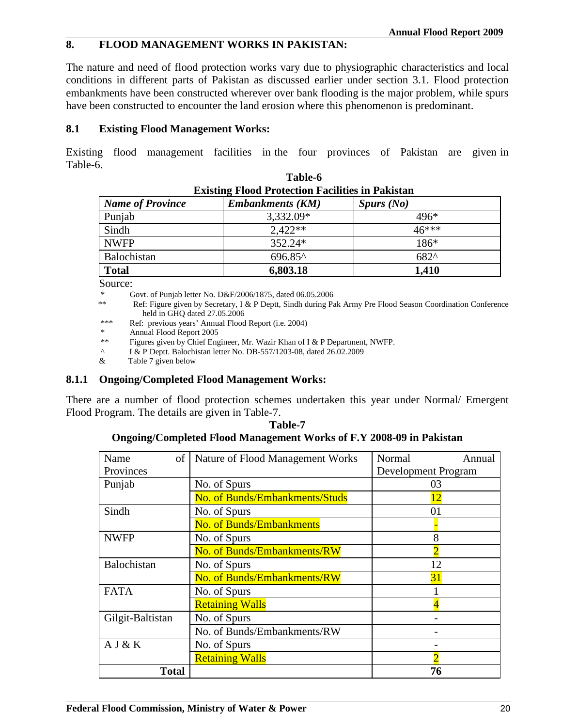### **8. FLOOD MANAGEMENT WORKS IN PAKISTAN:**

The nature and need of flood protection works vary due to physiographic characteristics and local conditions in different parts of Pakistan as discussed earlier under section 3.1. Flood protection embankments have been constructed wherever over bank flooding is the major problem, while spurs have been constructed to encounter the land erosion where this phenomenon is predominant.

### **8.1 Existing Flood Management Works:**

Existing flood management facilities in the four provinces of Pakistan are given in Table-6.

| <b>Existing Flood Protection Facilities in Pakistan</b>          |           |               |  |  |  |  |  |  |
|------------------------------------------------------------------|-----------|---------------|--|--|--|--|--|--|
| <b>Embankments (KM)</b><br><b>Name of Province</b><br>Spurs (No) |           |               |  |  |  |  |  |  |
| Punjab                                                           | 3,332.09* | $496*$        |  |  |  |  |  |  |
| Sindh                                                            | $2.422**$ | $46***$       |  |  |  |  |  |  |
| <b>NWFP</b>                                                      | $352.24*$ | $186*$        |  |  |  |  |  |  |
| Balochistan                                                      | 696.85^   | $682^{\circ}$ |  |  |  |  |  |  |
| <b>Total</b>                                                     | 6,803.18  | 1,410         |  |  |  |  |  |  |

**Table-6** 

Source:

\* Govt. of Punjab letter No.  $D \& F/2006/1875$ , dated 06.05.2006<br>\*\* Ref: Figure given by Secretary J & P Dentt, Sindh during Pe

Ref: Figure given by Secretary, I & P Deptt, Sindh during Pak Army Pre Flood Season Coordination Conference held in GHQ dated 27.05.2006

\*\*\* Ref: previous years' Annual Flood Report (i.e. 2004)

Annual Flood Report 2005

\*\* Figures given by Chief Engineer, Mr. Wazir Khan of I & P Department, NWFP.

^ I & P Deptt. Balochistan letter No. DB-557/1203-08, dated 26.02.2009

& Table 7 given below

#### **8.1.1 Ongoing/Completed Flood Management Works:**

There are a number of flood protection schemes undertaken this year under Normal/ Emergent Flood Program. The details are given in Table-7.

**Table-7 Ongoing/Completed Flood Management Works of F.Y 2008-09 in Pakistan**

| Name<br>of       | Nature of Flood Management Works | Normal<br>Annual    |
|------------------|----------------------------------|---------------------|
| Provinces        |                                  | Development Program |
| Punjab           | No. of Spurs                     | 03                  |
|                  | No. of Bunds/Embankments/Studs   | 12                  |
| Sindh            | No. of Spurs                     | 01                  |
|                  | No. of Bunds/Embankments         |                     |
| <b>NWFP</b>      | No. of Spurs                     | 8                   |
|                  | No. of Bunds/Embankments/RW      |                     |
| Balochistan      | No. of Spurs                     | 12                  |
|                  | No. of Bunds/Embankments/RW      | 31                  |
| <b>FATA</b>      | No. of Spurs                     |                     |
|                  | <b>Retaining Walls</b>           |                     |
| Gilgit-Baltistan | No. of Spurs                     |                     |
|                  | No. of Bunds/Embankments/RW      |                     |
| A J & K          | No. of Spurs                     |                     |
|                  | <b>Retaining Walls</b>           | ႒                   |
| <b>Total</b>     |                                  | 76                  |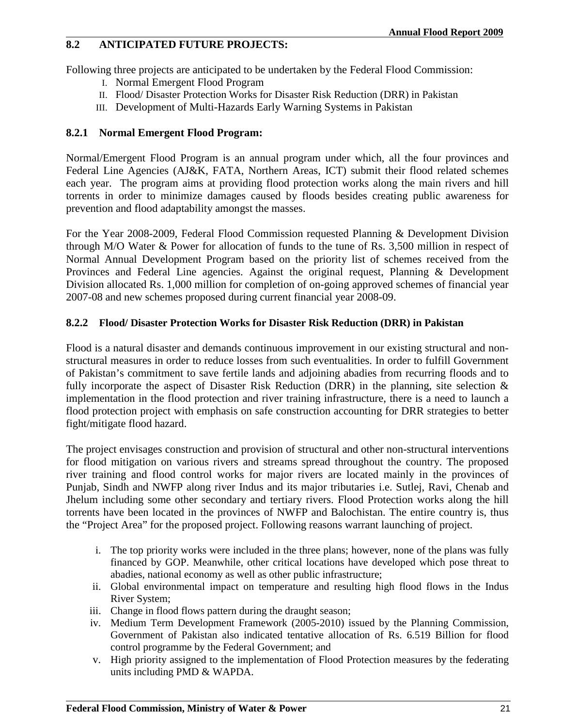### **8.2 ANTICIPATED FUTURE PROJECTS:**

Following three projects are anticipated to be undertaken by the Federal Flood Commission:

- I. Normal Emergent Flood Program
- II. Flood/ Disaster Protection Works for Disaster Risk Reduction (DRR) in Pakistan
- III. Development of Multi-Hazards Early Warning Systems in Pakistan

### **8.2.1 Normal Emergent Flood Program:**

Normal/Emergent Flood Program is an annual program under which, all the four provinces and Federal Line Agencies (AJ&K, FATA, Northern Areas, ICT) submit their flood related schemes each year. The program aims at providing flood protection works along the main rivers and hill torrents in order to minimize damages caused by floods besides creating public awareness for prevention and flood adaptability amongst the masses.

For the Year 2008-2009, Federal Flood Commission requested Planning & Development Division through M/O Water & Power for allocation of funds to the tune of Rs. 3,500 million in respect of Normal Annual Development Program based on the priority list of schemes received from the Provinces and Federal Line agencies. Against the original request, Planning & Development Division allocated Rs. 1,000 million for completion of on-going approved schemes of financial year 2007-08 and new schemes proposed during current financial year 2008-09.

### **8.2.2 Flood/ Disaster Protection Works for Disaster Risk Reduction (DRR) in Pakistan**

Flood is a natural disaster and demands continuous improvement in our existing structural and nonstructural measures in order to reduce losses from such eventualities. In order to fulfill Government of Pakistan's commitment to save fertile lands and adjoining abadies from recurring floods and to fully incorporate the aspect of Disaster Risk Reduction (DRR) in the planning, site selection & implementation in the flood protection and river training infrastructure, there is a need to launch a flood protection project with emphasis on safe construction accounting for DRR strategies to better fight/mitigate flood hazard.

The project envisages construction and provision of structural and other non-structural interventions for flood mitigation on various rivers and streams spread throughout the country. The proposed river training and flood control works for major rivers are located mainly in the provinces of Punjab, Sindh and NWFP along river Indus and its major tributaries i.e. Sutlej, Ravi, Chenab and Jhelum including some other secondary and tertiary rivers. Flood Protection works along the hill torrents have been located in the provinces of NWFP and Balochistan. The entire country is, thus the "Project Area" for the proposed project. Following reasons warrant launching of project.

- i. The top priority works were included in the three plans; however, none of the plans was fully financed by GOP. Meanwhile, other critical locations have developed which pose threat to abadies, national economy as well as other public infrastructure;
- ii. Global environmental impact on temperature and resulting high flood flows in the Indus River System;
- iii. Change in flood flows pattern during the draught season;
- iv. Medium Term Development Framework (2005-2010) issued by the Planning Commission, Government of Pakistan also indicated tentative allocation of Rs. 6.519 Billion for flood control programme by the Federal Government; and
- v. High priority assigned to the implementation of Flood Protection measures by the federating units including PMD & WAPDA.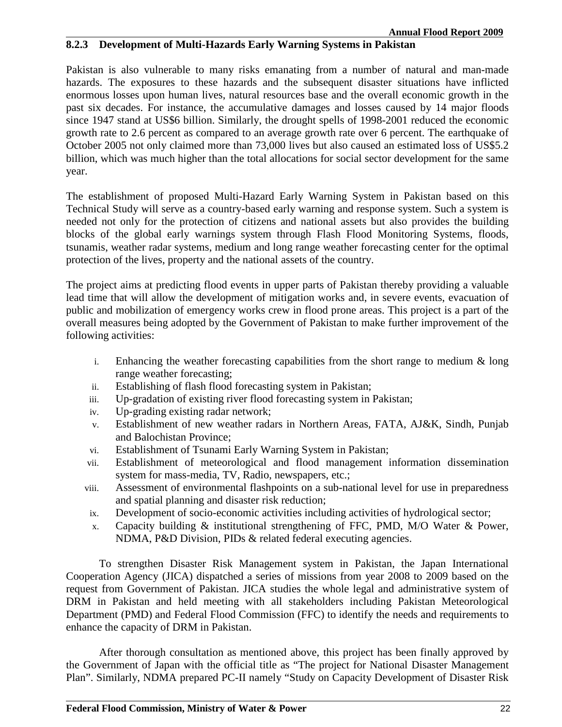### **8.2.3 Development of Multi-Hazards Early Warning Systems in Pakistan**

Pakistan is also vulnerable to many risks emanating from a number of natural and man-made hazards. The exposures to these hazards and the subsequent disaster situations have inflicted enormous losses upon human lives, natural resources base and the overall economic growth in the past six decades. For instance, the accumulative damages and losses caused by 14 major floods since 1947 stand at US\$6 billion. Similarly, the drought spells of 1998-2001 reduced the economic growth rate to 2.6 percent as compared to an average growth rate over 6 percent. The earthquake of October 2005 not only claimed more than 73,000 lives but also caused an estimated loss of US\$5.2 billion, which was much higher than the total allocations for social sector development for the same year.

The establishment of proposed Multi-Hazard Early Warning System in Pakistan based on this Technical Study will serve as a country-based early warning and response system. Such a system is needed not only for the protection of citizens and national assets but also provides the building blocks of the global early warnings system through Flash Flood Monitoring Systems, floods, tsunamis, weather radar systems, medium and long range weather forecasting center for the optimal protection of the lives, property and the national assets of the country.

The project aims at predicting flood events in upper parts of Pakistan thereby providing a valuable lead time that will allow the development of mitigation works and, in severe events, evacuation of public and mobilization of emergency works crew in flood prone areas. This project is a part of the overall measures being adopted by the Government of Pakistan to make further improvement of the following activities:

- i. Enhancing the weather forecasting capabilities from the short range to medium  $\&$  long range weather forecasting;
- ii. Establishing of flash flood forecasting system in Pakistan;
- iii. Up-gradation of existing river flood forecasting system in Pakistan;
- iv. Up-grading existing radar network;
- v. Establishment of new weather radars in Northern Areas, FATA, AJ&K, Sindh, Punjab and Balochistan Province;
- vi. Establishment of Tsunami Early Warning System in Pakistan;
- vii. Establishment of meteorological and flood management information dissemination system for mass-media, TV, Radio, newspapers, etc.;
- viii. Assessment of environmental flashpoints on a sub-national level for use in preparedness and spatial planning and disaster risk reduction;
- ix. Development of socio-economic activities including activities of hydrological sector;
- x. Capacity building & institutional strengthening of FFC, PMD, M/O Water & Power, NDMA, P&D Division, PIDs & related federal executing agencies.

To strengthen Disaster Risk Management system in Pakistan, the Japan International Cooperation Agency (JICA) dispatched a series of missions from year 2008 to 2009 based on the request from Government of Pakistan. JICA studies the whole legal and administrative system of DRM in Pakistan and held meeting with all stakeholders including Pakistan Meteorological Department (PMD) and Federal Flood Commission (FFC) to identify the needs and requirements to enhance the capacity of DRM in Pakistan.

After thorough consultation as mentioned above, this project has been finally approved by the Government of Japan with the official title as "The project for National Disaster Management Plan". Similarly, NDMA prepared PC-II namely "Study on Capacity Development of Disaster Risk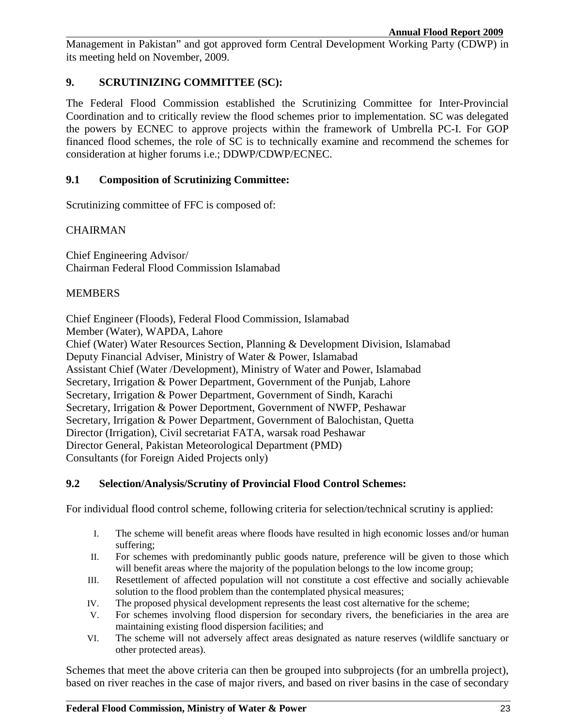Management in Pakistan" and got approved form Central Development Working Party (CDWP) in its meeting held on November, 2009.

### **9. SCRUTINIZING COMMITTEE (SC):**

The Federal Flood Commission established the Scrutinizing Committee for Inter-Provincial Coordination and to critically review the flood schemes prior to implementation. SC was delegated the powers by ECNEC to approve projects within the framework of Umbrella PC-I. For GOP financed flood schemes, the role of SC is to technically examine and recommend the schemes for consideration at higher forums i.e.; DDWP/CDWP/ECNEC.

### **9.1 Composition of Scrutinizing Committee:**

Scrutinizing committee of FFC is composed of:

### **CHAIRMAN**

Chief Engineering Advisor/ Chairman Federal Flood Commission Islamabad

#### MEMBERS

Chief Engineer (Floods), Federal Flood Commission, Islamabad

Member (Water), WAPDA, Lahore

Chief (Water) Water Resources Section, Planning & Development Division, Islamabad Deputy Financial Adviser, Ministry of Water & Power, Islamabad Assistant Chief (Water /Development), Ministry of Water and Power, Islamabad Secretary, Irrigation & Power Department, Government of the Punjab, Lahore Secretary, Irrigation & Power Department, Government of Sindh, Karachi Secretary, Irrigation & Power Deportment, Government of NWFP, Peshawar Secretary, Irrigation & Power Department, Government of Balochistan, Quetta Director (Irrigation), Civil secretariat FATA, warsak road Peshawar Director General, Pakistan Meteorological Department (PMD) Consultants (for Foreign Aided Projects only)

#### **9.2 Selection/Analysis/Scrutiny of Provincial Flood Control Schemes:**

For individual flood control scheme, following criteria for selection/technical scrutiny is applied:

- I. The scheme will benefit areas where floods have resulted in high economic losses and/or human suffering;
- II. For schemes with predominantly public goods nature, preference will be given to those which will benefit areas where the majority of the population belongs to the low income group;
- III. Resettlement of affected population will not constitute a cost effective and socially achievable solution to the flood problem than the contemplated physical measures;
- IV. The proposed physical development represents the least cost alternative for the scheme;
- V. For schemes involving flood dispersion for secondary rivers, the beneficiaries in the area are maintaining existing flood dispersion facilities; and
- VI. The scheme will not adversely affect areas designated as nature reserves (wildlife sanctuary or other protected areas).

Schemes that meet the above criteria can then be grouped into subprojects (for an umbrella project), based on river reaches in the case of major rivers, and based on river basins in the case of secondary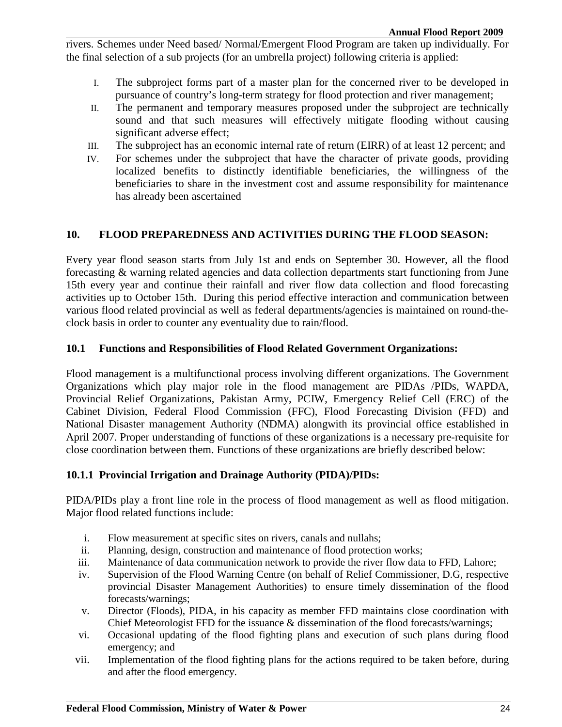rivers. Schemes under Need based/ Normal/Emergent Flood Program are taken up individually. For the final selection of a sub projects (for an umbrella project) following criteria is applied:

- I. The subproject forms part of a master plan for the concerned river to be developed in pursuance of country's long-term strategy for flood protection and river management;
- II. The permanent and temporary measures proposed under the subproject are technically sound and that such measures will effectively mitigate flooding without causing significant adverse effect;
- III. The subproject has an economic internal rate of return (EIRR) of at least 12 percent; and
- IV. For schemes under the subproject that have the character of private goods, providing localized benefits to distinctly identifiable beneficiaries, the willingness of the beneficiaries to share in the investment cost and assume responsibility for maintenance has already been ascertained

### **10. FLOOD PREPAREDNESS AND ACTIVITIES DURING THE FLOOD SEASON:**

Every year flood season starts from July 1st and ends on September 30. However, all the flood forecasting & warning related agencies and data collection departments start functioning from June 15th every year and continue their rainfall and river flow data collection and flood forecasting activities up to October 15th. During this period effective interaction and communication between various flood related provincial as well as federal departments/agencies is maintained on round-theclock basis in order to counter any eventuality due to rain/flood.

### **10.1 Functions and Responsibilities of Flood Related Government Organizations:**

Flood management is a multifunctional process involving different organizations. The Government Organizations which play major role in the flood management are PIDAs /PIDs, WAPDA, Provincial Relief Organizations, Pakistan Army, PCIW, Emergency Relief Cell (ERC) of the Cabinet Division, Federal Flood Commission (FFC), Flood Forecasting Division (FFD) and National Disaster management Authority (NDMA) alongwith its provincial office established in April 2007. Proper understanding of functions of these organizations is a necessary pre-requisite for close coordination between them. Functions of these organizations are briefly described below:

### **10.1.1 Provincial Irrigation and Drainage Authority (PIDA)/PIDs:**

PIDA/PIDs play a front line role in the process of flood management as well as flood mitigation. Major flood related functions include:

- i. Flow measurement at specific sites on rivers, canals and nullahs;
- ii. Planning, design, construction and maintenance of flood protection works;
- iii. Maintenance of data communication network to provide the river flow data to FFD, Lahore;
- iv. Supervision of the Flood Warning Centre (on behalf of Relief Commissioner, D.G, respective provincial Disaster Management Authorities) to ensure timely dissemination of the flood forecasts/warnings;
- v. Director (Floods), PIDA, in his capacity as member FFD maintains close coordination with Chief Meteorologist FFD for the issuance & dissemination of the flood forecasts/warnings;
- vi. Occasional updating of the flood fighting plans and execution of such plans during flood emergency; and
- vii. Implementation of the flood fighting plans for the actions required to be taken before, during and after the flood emergency.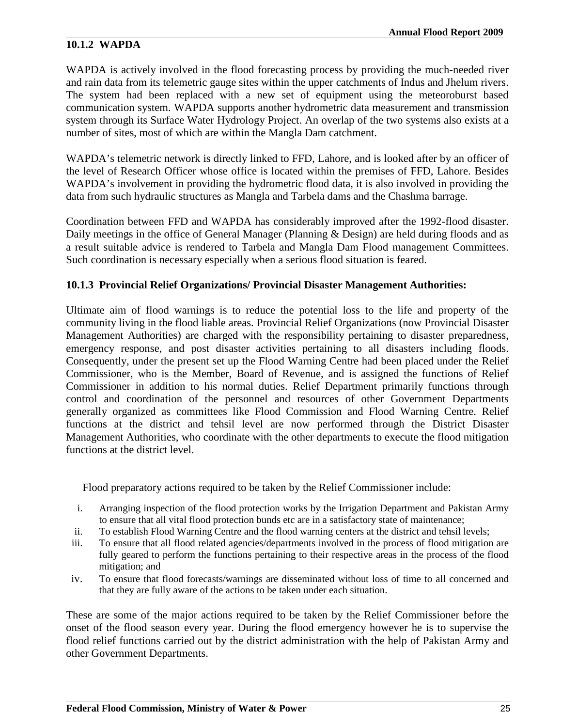### **10.1.2 WAPDA**

WAPDA is actively involved in the flood forecasting process by providing the much-needed river and rain data from its telemetric gauge sites within the upper catchments of Indus and Jhelum rivers. The system had been replaced with a new set of equipment using the meteoroburst based communication system. WAPDA supports another hydrometric data measurement and transmission system through its Surface Water Hydrology Project. An overlap of the two systems also exists at a number of sites, most of which are within the Mangla Dam catchment.

WAPDA's telemetric network is directly linked to FFD, Lahore, and is looked after by an officer of the level of Research Officer whose office is located within the premises of FFD, Lahore. Besides WAPDA's involvement in providing the hydrometric flood data, it is also involved in providing the data from such hydraulic structures as Mangla and Tarbela dams and the Chashma barrage.

Coordination between FFD and WAPDA has considerably improved after the 1992-flood disaster. Daily meetings in the office of General Manager (Planning & Design) are held during floods and as a result suitable advice is rendered to Tarbela and Mangla Dam Flood management Committees. Such coordination is necessary especially when a serious flood situation is feared.

### **10.1.3 Provincial Relief Organizations/ Provincial Disaster Management Authorities:**

Ultimate aim of flood warnings is to reduce the potential loss to the life and property of the community living in the flood liable areas. Provincial Relief Organizations (now Provincial Disaster Management Authorities) are charged with the responsibility pertaining to disaster preparedness, emergency response, and post disaster activities pertaining to all disasters including floods. Consequently, under the present set up the Flood Warning Centre had been placed under the Relief Commissioner, who is the Member, Board of Revenue, and is assigned the functions of Relief Commissioner in addition to his normal duties. Relief Department primarily functions through control and coordination of the personnel and resources of other Government Departments generally organized as committees like Flood Commission and Flood Warning Centre. Relief functions at the district and tehsil level are now performed through the District Disaster Management Authorities, who coordinate with the other departments to execute the flood mitigation functions at the district level.

Flood preparatory actions required to be taken by the Relief Commissioner include:

- i. Arranging inspection of the flood protection works by the Irrigation Department and Pakistan Army to ensure that all vital flood protection bunds etc are in a satisfactory state of maintenance;
- ii. To establish Flood Warning Centre and the flood warning centers at the district and tehsil levels;
- iii. To ensure that all flood related agencies/departments involved in the process of flood mitigation are fully geared to perform the functions pertaining to their respective areas in the process of the flood mitigation; and
- iv. To ensure that flood forecasts/warnings are disseminated without loss of time to all concerned and that they are fully aware of the actions to be taken under each situation.

These are some of the major actions required to be taken by the Relief Commissioner before the onset of the flood season every year. During the flood emergency however he is to supervise the flood relief functions carried out by the district administration with the help of Pakistan Army and other Government Departments.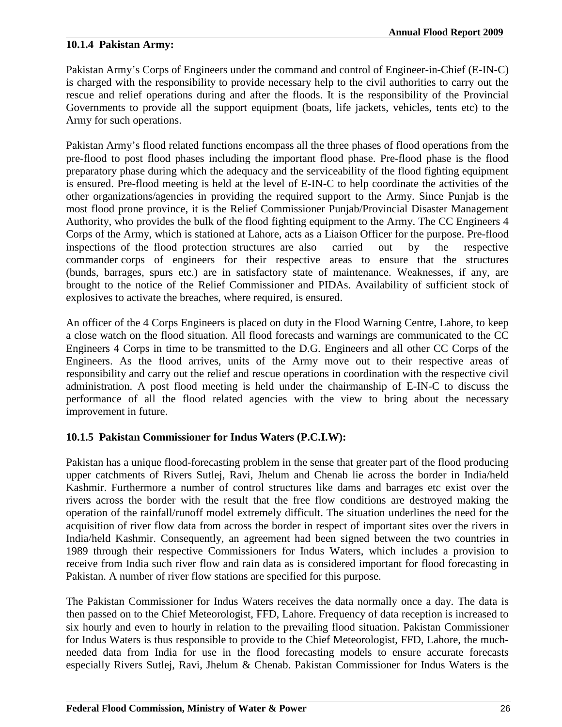### **10.1.4 Pakistan Army:**

Pakistan Army's Corps of Engineers under the command and control of Engineer-in-Chief (E-IN-C) is charged with the responsibility to provide necessary help to the civil authorities to carry out the rescue and relief operations during and after the floods. It is the responsibility of the Provincial Governments to provide all the support equipment (boats, life jackets, vehicles, tents etc) to the Army for such operations.

Pakistan Army's flood related functions encompass all the three phases of flood operations from the pre-flood to post flood phases including the important flood phase. Pre-flood phase is the flood preparatory phase during which the adequacy and the serviceability of the flood fighting equipment is ensured. Pre-flood meeting is held at the level of E-IN-C to help coordinate the activities of the other organizations/agencies in providing the required support to the Army. Since Punjab is the most flood prone province, it is the Relief Commissioner Punjab/Provincial Disaster Management Authority, who provides the bulk of the flood fighting equipment to the Army. The CC Engineers 4 Corps of the Army, which is stationed at Lahore, acts as a Liaison Officer for the purpose. Pre-flood inspections of the flood protection structures are also carried out by the respective commander corps of engineers for their respective areas to ensure that the structures (bunds, barrages, spurs etc.) are in satisfactory state of maintenance. Weaknesses, if any, are brought to the notice of the Relief Commissioner and PIDAs. Availability of sufficient stock of explosives to activate the breaches, where required, is ensured.

An officer of the 4 Corps Engineers is placed on duty in the Flood Warning Centre, Lahore, to keep a close watch on the flood situation. All flood forecasts and warnings are communicated to the CC Engineers 4 Corps in time to be transmitted to the D.G. Engineers and all other CC Corps of the Engineers. As the flood arrives, units of the Army move out to their respective areas of responsibility and carry out the relief and rescue operations in coordination with the respective civil administration. A post flood meeting is held under the chairmanship of E-IN-C to discuss the performance of all the flood related agencies with the view to bring about the necessary improvement in future.

### **10.1.5 Pakistan Commissioner for Indus Waters (P.C.I.W):**

Pakistan has a unique flood-forecasting problem in the sense that greater part of the flood producing upper catchments of Rivers Sutlej, Ravi, Jhelum and Chenab lie across the border in India/held Kashmir. Furthermore a number of control structures like dams and barrages etc exist over the rivers across the border with the result that the free flow conditions are destroyed making the operation of the rainfall/runoff model extremely difficult. The situation underlines the need for the acquisition of river flow data from across the border in respect of important sites over the rivers in India/held Kashmir. Consequently, an agreement had been signed between the two countries in 1989 through their respective Commissioners for Indus Waters, which includes a provision to receive from India such river flow and rain data as is considered important for flood forecasting in Pakistan. A number of river flow stations are specified for this purpose.

The Pakistan Commissioner for Indus Waters receives the data normally once a day. The data is then passed on to the Chief Meteorologist, FFD, Lahore. Frequency of data reception is increased to six hourly and even to hourly in relation to the prevailing flood situation. Pakistan Commissioner for Indus Waters is thus responsible to provide to the Chief Meteorologist, FFD, Lahore, the muchneeded data from India for use in the flood forecasting models to ensure accurate forecasts especially Rivers Sutlej, Ravi, Jhelum & Chenab. Pakistan Commissioner for Indus Waters is the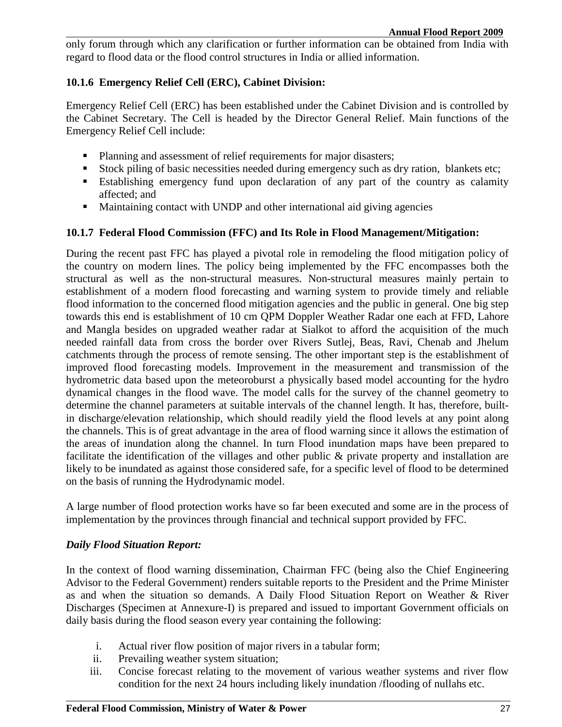only forum through which any clarification or further information can be obtained from India with regard to flood data or the flood control structures in India or allied information.

### **10.1.6 Emergency Relief Cell (ERC), Cabinet Division:**

Emergency Relief Cell (ERC) has been established under the Cabinet Division and is controlled by the Cabinet Secretary. The Cell is headed by the Director General Relief. Main functions of the Emergency Relief Cell include:

- **Planning and assessment of relief requirements for major disasters;**
- Stock piling of basic necessities needed during emergency such as dry ration, blankets etc;
- Establishing emergency fund upon declaration of any part of the country as calamity affected; and
- Maintaining contact with UNDP and other international aid giving agencies

#### **10.1.7 Federal Flood Commission (FFC) and Its Role in Flood Management/Mitigation:**

During the recent past FFC has played a pivotal role in remodeling the flood mitigation policy of the country on modern lines. The policy being implemented by the FFC encompasses both the structural as well as the non-structural measures. Non-structural measures mainly pertain to establishment of a modern flood forecasting and warning system to provide timely and reliable flood information to the concerned flood mitigation agencies and the public in general. One big step towards this end is establishment of 10 cm QPM Doppler Weather Radar one each at FFD, Lahore and Mangla besides on upgraded weather radar at Sialkot to afford the acquisition of the much needed rainfall data from cross the border over Rivers Sutlej, Beas, Ravi, Chenab and Jhelum catchments through the process of remote sensing. The other important step is the establishment of improved flood forecasting models. Improvement in the measurement and transmission of the hydrometric data based upon the meteoroburst a physically based model accounting for the hydro dynamical changes in the flood wave. The model calls for the survey of the channel geometry to determine the channel parameters at suitable intervals of the channel length. It has, therefore, builtin discharge/elevation relationship, which should readily yield the flood levels at any point along the channels. This is of great advantage in the area of flood warning since it allows the estimation of the areas of inundation along the channel. In turn Flood inundation maps have been prepared to facilitate the identification of the villages and other public & private property and installation are likely to be inundated as against those considered safe, for a specific level of flood to be determined on the basis of running the Hydrodynamic model.

A large number of flood protection works have so far been executed and some are in the process of implementation by the provinces through financial and technical support provided by FFC.

#### *Daily Flood Situation Report:*

In the context of flood warning dissemination, Chairman FFC (being also the Chief Engineering Advisor to the Federal Government) renders suitable reports to the President and the Prime Minister as and when the situation so demands. A Daily Flood Situation Report on Weather & River Discharges (Specimen at Annexure-I) is prepared and issued to important Government officials on daily basis during the flood season every year containing the following:

- i. Actual river flow position of major rivers in a tabular form;
- ii. Prevailing weather system situation;
- iii. Concise forecast relating to the movement of various weather systems and river flow condition for the next 24 hours including likely inundation /flooding of nullahs etc.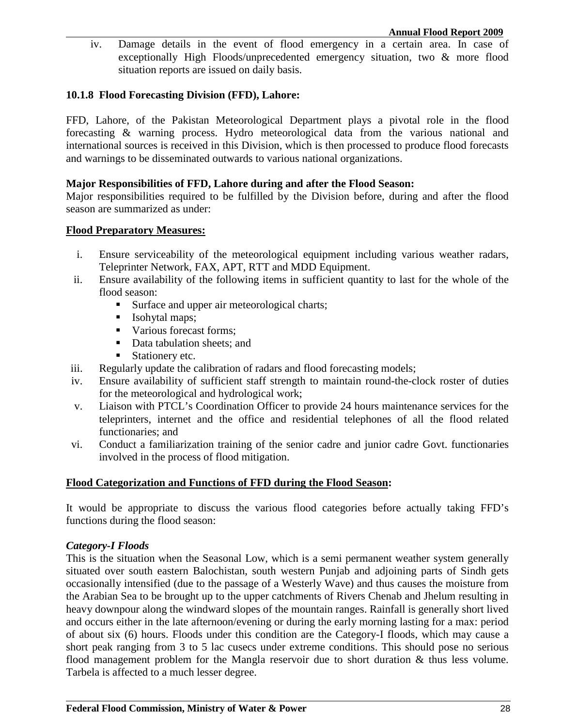iv. Damage details in the event of flood emergency in a certain area. In case of exceptionally High Floods/unprecedented emergency situation, two & more flood situation reports are issued on daily basis.

### **10.1.8 Flood Forecasting Division (FFD), Lahore:**

FFD, Lahore, of the Pakistan Meteorological Department plays a pivotal role in the flood forecasting & warning process. Hydro meteorological data from the various national and international sources is received in this Division, which is then processed to produce flood forecasts and warnings to be disseminated outwards to various national organizations.

#### **Major Responsibilities of FFD, Lahore during and after the Flood Season:**

Major responsibilities required to be fulfilled by the Division before, during and after the flood season are summarized as under:

#### **Flood Preparatory Measures:**

- i. Ensure serviceability of the meteorological equipment including various weather radars, Teleprinter Network, FAX, APT, RTT and MDD Equipment.
- ii. Ensure availability of the following items in sufficient quantity to last for the whole of the flood season:
	- Surface and upper air meteorological charts;
	- **Isohytal maps;**
	- Various forecast forms;
	- Data tabulation sheets; and
	- Stationery etc.
- iii. Regularly update the calibration of radars and flood forecasting models;
- iv. Ensure availability of sufficient staff strength to maintain round-the-clock roster of duties for the meteorological and hydrological work;
- v. Liaison with PTCL's Coordination Officer to provide 24 hours maintenance services for the teleprinters, internet and the office and residential telephones of all the flood related functionaries; and
- vi. Conduct a familiarization training of the senior cadre and junior cadre Govt. functionaries involved in the process of flood mitigation.

### **Flood Categorization and Functions of FFD during the Flood Season:**

It would be appropriate to discuss the various flood categories before actually taking FFD's functions during the flood season:

### *Category-I Floods*

This is the situation when the Seasonal Low, which is a semi permanent weather system generally situated over south eastern Balochistan, south western Punjab and adjoining parts of Sindh gets occasionally intensified (due to the passage of a Westerly Wave) and thus causes the moisture from the Arabian Sea to be brought up to the upper catchments of Rivers Chenab and Jhelum resulting in heavy downpour along the windward slopes of the mountain ranges. Rainfall is generally short lived and occurs either in the late afternoon/evening or during the early morning lasting for a max: period of about six (6) hours. Floods under this condition are the Category-I floods, which may cause a short peak ranging from 3 to 5 lac cusecs under extreme conditions. This should pose no serious flood management problem for the Mangla reservoir due to short duration & thus less volume. Tarbela is affected to a much lesser degree.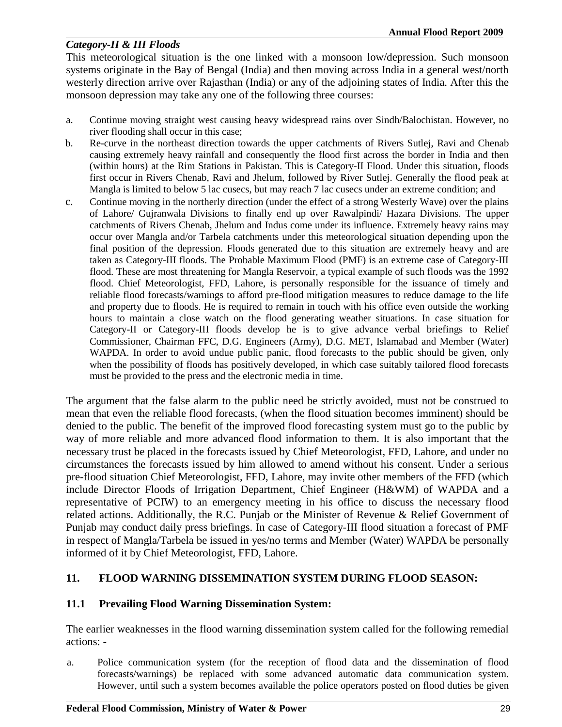### *Category-II & III Floods*

This meteorological situation is the one linked with a monsoon low/depression. Such monsoon systems originate in the Bay of Bengal (India) and then moving across India in a general west/north westerly direction arrive over Rajasthan (India) or any of the adjoining states of India. After this the monsoon depression may take any one of the following three courses:

- a. Continue moving straight west causing heavy widespread rains over Sindh/Balochistan. However, no river flooding shall occur in this case;
- b. Re-curve in the northeast direction towards the upper catchments of Rivers Sutlej, Ravi and Chenab causing extremely heavy rainfall and consequently the flood first across the border in India and then (within hours) at the Rim Stations in Pakistan. This is Category-II Flood. Under this situation, floods first occur in Rivers Chenab, Ravi and Jhelum, followed by River Sutlej. Generally the flood peak at Mangla is limited to below 5 lac cusecs, but may reach 7 lac cusecs under an extreme condition; and
- c. Continue moving in the northerly direction (under the effect of a strong Westerly Wave) over the plains of Lahore/ Gujranwala Divisions to finally end up over Rawalpindi/ Hazara Divisions. The upper catchments of Rivers Chenab, Jhelum and Indus come under its influence. Extremely heavy rains may occur over Mangla and/or Tarbela catchments under this meteorological situation depending upon the final position of the depression. Floods generated due to this situation are extremely heavy and are taken as Category-III floods. The Probable Maximum Flood (PMF) is an extreme case of Category-III flood. These are most threatening for Mangla Reservoir, a typical example of such floods was the 1992 flood. Chief Meteorologist, FFD, Lahore, is personally responsible for the issuance of timely and reliable flood forecasts/warnings to afford pre-flood mitigation measures to reduce damage to the life and property due to floods. He is required to remain in touch with his office even outside the working hours to maintain a close watch on the flood generating weather situations. In case situation for Category-II or Category-III floods develop he is to give advance verbal briefings to Relief Commissioner, Chairman FFC, D.G. Engineers (Army), D.G. MET, Islamabad and Member (Water) WAPDA. In order to avoid undue public panic, flood forecasts to the public should be given, only when the possibility of floods has positively developed, in which case suitably tailored flood forecasts must be provided to the press and the electronic media in time.

The argument that the false alarm to the public need be strictly avoided, must not be construed to mean that even the reliable flood forecasts, (when the flood situation becomes imminent) should be denied to the public. The benefit of the improved flood forecasting system must go to the public by way of more reliable and more advanced flood information to them. It is also important that the necessary trust be placed in the forecasts issued by Chief Meteorologist, FFD, Lahore, and under no circumstances the forecasts issued by him allowed to amend without his consent. Under a serious pre-flood situation Chief Meteorologist, FFD, Lahore, may invite other members of the FFD (which include Director Floods of Irrigation Department, Chief Engineer (H&WM) of WAPDA and a representative of PCIW) to an emergency meeting in his office to discuss the necessary flood related actions. Additionally, the R.C. Punjab or the Minister of Revenue & Relief Government of Punjab may conduct daily press briefings. In case of Category-III flood situation a forecast of PMF in respect of Mangla/Tarbela be issued in yes/no terms and Member (Water) WAPDA be personally informed of it by Chief Meteorologist, FFD, Lahore.

### **11. FLOOD WARNING DISSEMINATION SYSTEM DURING FLOOD SEASON:**

### **11.1 Prevailing Flood Warning Dissemination System:**

The earlier weaknesses in the flood warning dissemination system called for the following remedial actions: -

a. Police communication system (for the reception of flood data and the dissemination of flood forecasts/warnings) be replaced with some advanced automatic data communication system. However, until such a system becomes available the police operators posted on flood duties be given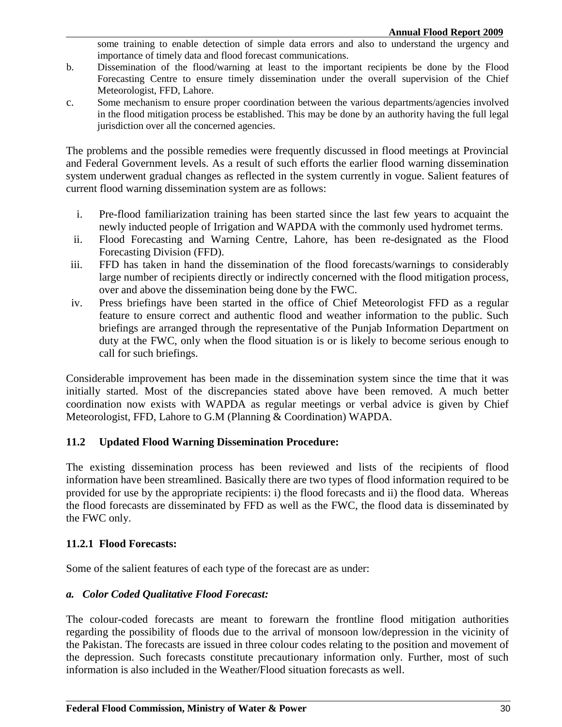some training to enable detection of simple data errors and also to understand the urgency and importance of timely data and flood forecast communications.

- b. Dissemination of the flood/warning at least to the important recipients be done by the Flood Forecasting Centre to ensure timely dissemination under the overall supervision of the Chief Meteorologist, FFD, Lahore.
- c. Some mechanism to ensure proper coordination between the various departments/agencies involved in the flood mitigation process be established. This may be done by an authority having the full legal jurisdiction over all the concerned agencies.

The problems and the possible remedies were frequently discussed in flood meetings at Provincial and Federal Government levels. As a result of such efforts the earlier flood warning dissemination system underwent gradual changes as reflected in the system currently in vogue. Salient features of current flood warning dissemination system are as follows:

- i. Pre-flood familiarization training has been started since the last few years to acquaint the newly inducted people of Irrigation and WAPDA with the commonly used hydromet terms.
- ii. Flood Forecasting and Warning Centre, Lahore, has been re-designated as the Flood Forecasting Division (FFD).
- iii. FFD has taken in hand the dissemination of the flood forecasts/warnings to considerably large number of recipients directly or indirectly concerned with the flood mitigation process, over and above the dissemination being done by the FWC.
- iv. Press briefings have been started in the office of Chief Meteorologist FFD as a regular feature to ensure correct and authentic flood and weather information to the public. Such briefings are arranged through the representative of the Punjab Information Department on duty at the FWC, only when the flood situation is or is likely to become serious enough to call for such briefings.

Considerable improvement has been made in the dissemination system since the time that it was initially started. Most of the discrepancies stated above have been removed. A much better coordination now exists with WAPDA as regular meetings or verbal advice is given by Chief Meteorologist, FFD, Lahore to G.M (Planning & Coordination) WAPDA.

### **11.2 Updated Flood Warning Dissemination Procedure:**

The existing dissemination process has been reviewed and lists of the recipients of flood information have been streamlined. Basically there are two types of flood information required to be provided for use by the appropriate recipients: i) the flood forecasts and ii) the flood data. Whereas the flood forecasts are disseminated by FFD as well as the FWC, the flood data is disseminated by the FWC only.

### **11.2.1 Flood Forecasts:**

Some of the salient features of each type of the forecast are as under:

### *a. Color Coded Qualitative Flood Forecast:*

The colour-coded forecasts are meant to forewarn the frontline flood mitigation authorities regarding the possibility of floods due to the arrival of monsoon low/depression in the vicinity of the Pakistan. The forecasts are issued in three colour codes relating to the position and movement of the depression. Such forecasts constitute precautionary information only. Further, most of such information is also included in the Weather/Flood situation forecasts as well.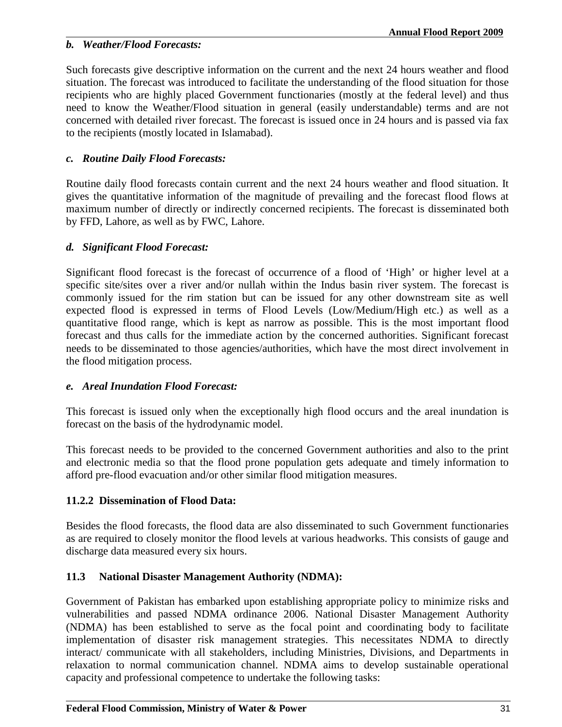### *b. Weather/Flood Forecasts:*

Such forecasts give descriptive information on the current and the next 24 hours weather and flood situation. The forecast was introduced to facilitate the understanding of the flood situation for those recipients who are highly placed Government functionaries (mostly at the federal level) and thus need to know the Weather/Flood situation in general (easily understandable) terms and are not concerned with detailed river forecast. The forecast is issued once in 24 hours and is passed via fax to the recipients (mostly located in Islamabad).

### *c. Routine Daily Flood Forecasts:*

Routine daily flood forecasts contain current and the next 24 hours weather and flood situation. It gives the quantitative information of the magnitude of prevailing and the forecast flood flows at maximum number of directly or indirectly concerned recipients. The forecast is disseminated both by FFD, Lahore, as well as by FWC, Lahore.

### *d. Significant Flood Forecast:*

Significant flood forecast is the forecast of occurrence of a flood of 'High' or higher level at a specific site/sites over a river and/or nullah within the Indus basin river system. The forecast is commonly issued for the rim station but can be issued for any other downstream site as well expected flood is expressed in terms of Flood Levels (Low/Medium/High etc.) as well as a quantitative flood range, which is kept as narrow as possible. This is the most important flood forecast and thus calls for the immediate action by the concerned authorities. Significant forecast needs to be disseminated to those agencies/authorities, which have the most direct involvement in the flood mitigation process.

### *e. Areal Inundation Flood Forecast:*

This forecast is issued only when the exceptionally high flood occurs and the areal inundation is forecast on the basis of the hydrodynamic model.

This forecast needs to be provided to the concerned Government authorities and also to the print and electronic media so that the flood prone population gets adequate and timely information to afford pre-flood evacuation and/or other similar flood mitigation measures.

### **11.2.2 Dissemination of Flood Data:**

Besides the flood forecasts, the flood data are also disseminated to such Government functionaries as are required to closely monitor the flood levels at various headworks. This consists of gauge and discharge data measured every six hours.

### **11.3 National Disaster Management Authority (NDMA):**

Government of Pakistan has embarked upon establishing appropriate policy to minimize risks and vulnerabilities and passed NDMA ordinance 2006. National Disaster Management Authority (NDMA) has been established to serve as the focal point and coordinating body to facilitate implementation of disaster risk management strategies. This necessitates NDMA to directly interact/ communicate with all stakeholders, including Ministries, Divisions, and Departments in relaxation to normal communication channel. NDMA aims to develop sustainable operational capacity and professional competence to undertake the following tasks: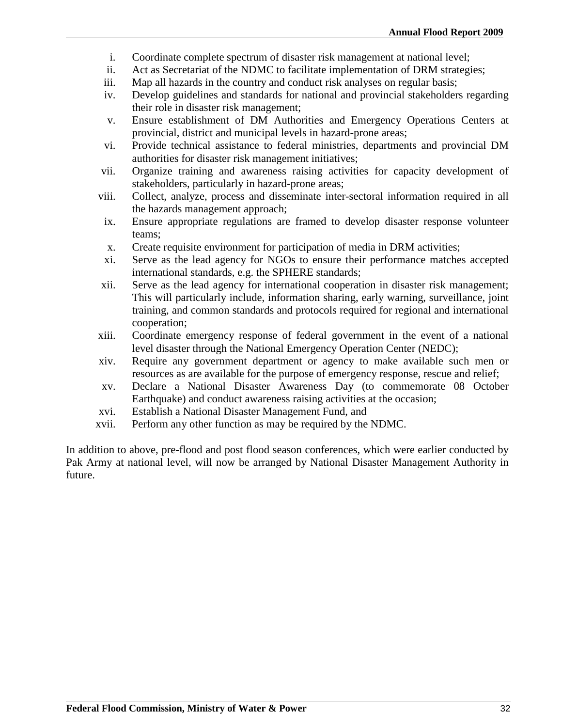- i. Coordinate complete spectrum of disaster risk management at national level;
- ii. Act as Secretariat of the NDMC to facilitate implementation of DRM strategies;
- iii. Map all hazards in the country and conduct risk analyses on regular basis;
- iv. Develop guidelines and standards for national and provincial stakeholders regarding their role in disaster risk management;
- v. Ensure establishment of DM Authorities and Emergency Operations Centers at provincial, district and municipal levels in hazard-prone areas;
- vi. Provide technical assistance to federal ministries, departments and provincial DM authorities for disaster risk management initiatives;
- vii. Organize training and awareness raising activities for capacity development of stakeholders, particularly in hazard-prone areas;
- viii. Collect, analyze, process and disseminate inter-sectoral information required in all the hazards management approach;
- ix. Ensure appropriate regulations are framed to develop disaster response volunteer teams;
- x. Create requisite environment for participation of media in DRM activities;
- xi. Serve as the lead agency for NGOs to ensure their performance matches accepted international standards, e.g. the SPHERE standards;
- xii. Serve as the lead agency for international cooperation in disaster risk management; This will particularly include, information sharing, early warning, surveillance, joint training, and common standards and protocols required for regional and international cooperation;
- xiii. Coordinate emergency response of federal government in the event of a national level disaster through the National Emergency Operation Center (NEDC);
- xiv. Require any government department or agency to make available such men or resources as are available for the purpose of emergency response, rescue and relief;
- xv. Declare a National Disaster Awareness Day (to commemorate 08 October Earthquake) and conduct awareness raising activities at the occasion;
- xvi. Establish a National Disaster Management Fund, and
- xvii. Perform any other function as may be required by the NDMC.

In addition to above, pre-flood and post flood season conferences, which were earlier conducted by Pak Army at national level, will now be arranged by National Disaster Management Authority in future.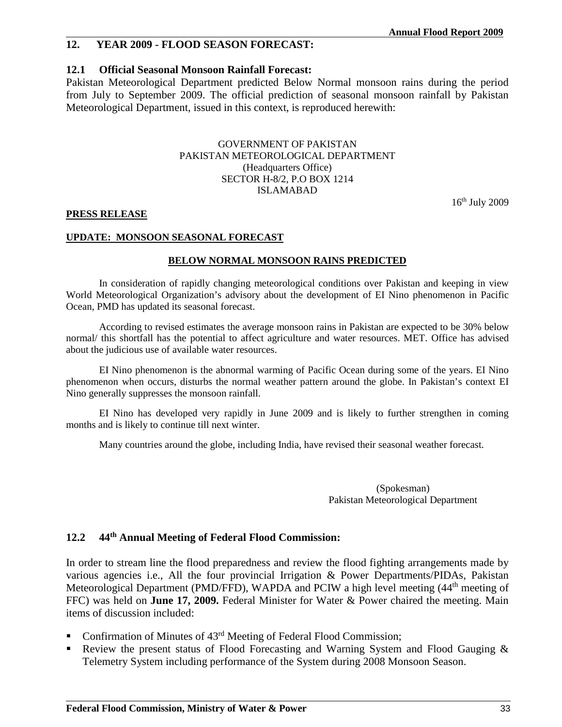### **12. YEAR 2009 - FLOOD SEASON FORECAST:**

### **12.1 Official Seasonal Monsoon Rainfall Forecast:**

Pakistan Meteorological Department predicted Below Normal monsoon rains during the period from July to September 2009. The official prediction of seasonal monsoon rainfall by Pakistan Meteorological Department, issued in this context, is reproduced herewith:

#### GOVERNMENT OF PAKISTAN PAKISTAN METEOROLOGICAL DEPARTMENT (Headquarters Office) SECTOR H-8/2, P.O BOX 1214 ISLAMABAD

16th July 2009

#### **PRESS RELEASE**

#### **UPDATE: MONSOON SEASONAL FORECAST**

#### **BELOW NORMAL MONSOON RAINS PREDICTED**

In consideration of rapidly changing meteorological conditions over Pakistan and keeping in view World Meteorological Organization's advisory about the development of EI Nino phenomenon in Pacific Ocean, PMD has updated its seasonal forecast.

According to revised estimates the average monsoon rains in Pakistan are expected to be 30% below normal/ this shortfall has the potential to affect agriculture and water resources. MET. Office has advised about the judicious use of available water resources.

EI Nino phenomenon is the abnormal warming of Pacific Ocean during some of the years. EI Nino phenomenon when occurs, disturbs the normal weather pattern around the globe. In Pakistan's context EI Nino generally suppresses the monsoon rainfall.

EI Nino has developed very rapidly in June 2009 and is likely to further strengthen in coming months and is likely to continue till next winter.

Many countries around the globe, including India, have revised their seasonal weather forecast.

(Spokesman) Pakistan Meteorological Department

#### **12.2 44th Annual Meeting of Federal Flood Commission:**

In order to stream line the flood preparedness and review the flood fighting arrangements made by various agencies i.e., All the four provincial Irrigation & Power Departments/PIDAs, Pakistan Meteorological Department (PMD/FFD), WAPDA and PCIW a high level meeting (44<sup>th</sup> meeting of FFC) was held on **June 17, 2009.** Federal Minister for Water & Power chaired the meeting. Main items of discussion included:

- Confirmation of Minutes of  $43<sup>rd</sup>$  Meeting of Federal Flood Commission;
- Review the present status of Flood Forecasting and Warning System and Flood Gauging & Telemetry System including performance of the System during 2008 Monsoon Season.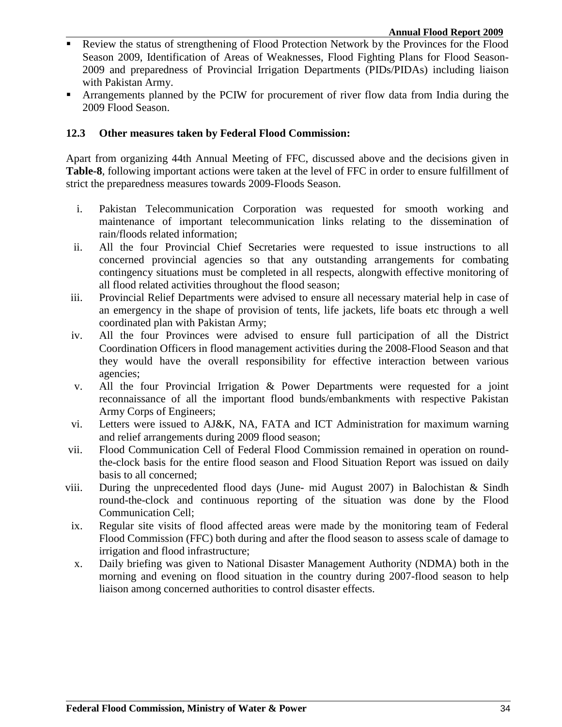- Review the status of strengthening of Flood Protection Network by the Provinces for the Flood Season 2009, Identification of Areas of Weaknesses, Flood Fighting Plans for Flood Season-2009 and preparedness of Provincial Irrigation Departments (PIDs/PIDAs) including liaison with Pakistan Army.
- Arrangements planned by the PCIW for procurement of river flow data from India during the 2009 Flood Season.

### **12.3 Other measures taken by Federal Flood Commission:**

Apart from organizing 44th Annual Meeting of FFC, discussed above and the decisions given in **Table-8**, following important actions were taken at the level of FFC in order to ensure fulfillment of strict the preparedness measures towards 2009-Floods Season.

- i. Pakistan Telecommunication Corporation was requested for smooth working and maintenance of important telecommunication links relating to the dissemination of rain/floods related information;
- ii. All the four Provincial Chief Secretaries were requested to issue instructions to all concerned provincial agencies so that any outstanding arrangements for combating contingency situations must be completed in all respects, alongwith effective monitoring of all flood related activities throughout the flood season;
- iii. Provincial Relief Departments were advised to ensure all necessary material help in case of an emergency in the shape of provision of tents, life jackets, life boats etc through a well coordinated plan with Pakistan Army;
- iv. All the four Provinces were advised to ensure full participation of all the District Coordination Officers in flood management activities during the 2008-Flood Season and that they would have the overall responsibility for effective interaction between various agencies;
- v. All the four Provincial Irrigation & Power Departments were requested for a joint reconnaissance of all the important flood bunds/embankments with respective Pakistan Army Corps of Engineers;
- vi. Letters were issued to AJ&K, NA, FATA and ICT Administration for maximum warning and relief arrangements during 2009 flood season;
- vii. Flood Communication Cell of Federal Flood Commission remained in operation on roundthe-clock basis for the entire flood season and Flood Situation Report was issued on daily basis to all concerned;
- viii. During the unprecedented flood days (June- mid August 2007) in Balochistan & Sindh round-the-clock and continuous reporting of the situation was done by the Flood Communication Cell;
- ix. Regular site visits of flood affected areas were made by the monitoring team of Federal Flood Commission (FFC) both during and after the flood season to assess scale of damage to irrigation and flood infrastructure;
- x. Daily briefing was given to National Disaster Management Authority (NDMA) both in the morning and evening on flood situation in the country during 2007-flood season to help liaison among concerned authorities to control disaster effects.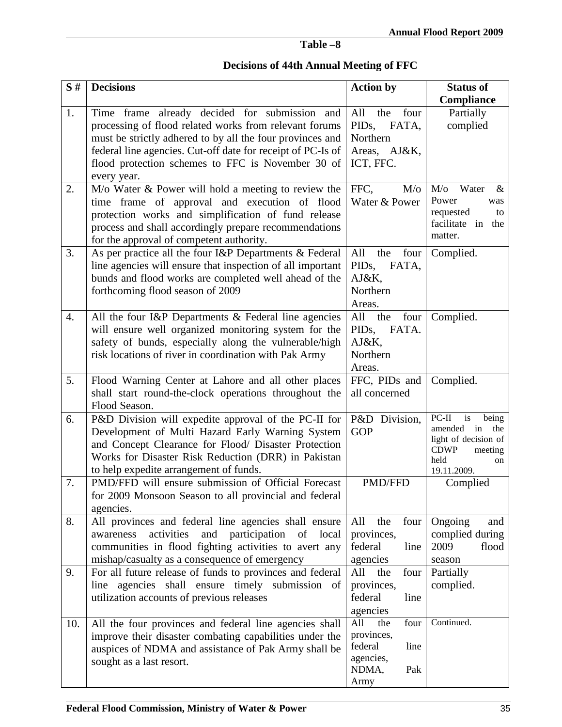# **Table –8**

# **Decisions of 44th Annual Meeting of FFC**

| S#  | <b>Decisions</b>                                                                                                    | <b>Action by</b>                                  | <b>Status of</b>                             |
|-----|---------------------------------------------------------------------------------------------------------------------|---------------------------------------------------|----------------------------------------------|
|     |                                                                                                                     |                                                   | Compliance                                   |
| 1.  | Time frame already decided for submission and                                                                       | four<br>All<br>the                                | Partially                                    |
|     | processing of flood related works from relevant forums                                                              | PID <sub>s</sub> ,<br>FATA,                       | complied                                     |
|     | must be strictly adhered to by all the four provinces and                                                           | Northern                                          |                                              |
|     | federal line agencies. Cut-off date for receipt of PC-Is of                                                         | Areas, AJ&K,                                      |                                              |
|     | flood protection schemes to FFC is November 30 of                                                                   | ICT, FFC.                                         |                                              |
|     | every year.                                                                                                         |                                                   |                                              |
| 2.  | $M$ /o Water $\&$ Power will hold a meeting to review the                                                           | FFC,<br>$M$ /o                                    | $M$ /o<br>Water<br>&                         |
|     | time frame of approval and execution of flood                                                                       | Water & Power                                     | Power<br>was<br>requested<br>to              |
|     | protection works and simplification of fund release                                                                 |                                                   | facilitate in<br>the                         |
|     | process and shall accordingly prepare recommendations                                                               |                                                   | matter.                                      |
| 3.  | for the approval of competent authority.                                                                            |                                                   |                                              |
|     | As per practice all the four I&P Departments & Federal                                                              | All<br>four<br>the<br>PID <sub>s</sub> ,<br>FATA, | Complied.                                    |
|     | line agencies will ensure that inspection of all important<br>bunds and flood works are completed well ahead of the | AJ&K,                                             |                                              |
|     | forthcoming flood season of 2009                                                                                    | Northern                                          |                                              |
|     |                                                                                                                     | Areas.                                            |                                              |
| 4.  | All the four I&P Departments & Federal line agencies                                                                | four<br>All<br>the                                | Complied.                                    |
|     | will ensure well organized monitoring system for the                                                                | FATA.<br>PID <sub>s</sub> ,                       |                                              |
|     | safety of bunds, especially along the vulnerable/high                                                               | AJ&K,                                             |                                              |
|     | risk locations of river in coordination with Pak Army                                                               | Northern                                          |                                              |
|     |                                                                                                                     | Areas.                                            |                                              |
| 5.  | Flood Warning Center at Lahore and all other places                                                                 | FFC, PIDs and                                     | Complied.                                    |
|     | shall start round-the-clock operations throughout the                                                               | all concerned                                     |                                              |
|     | Flood Season.                                                                                                       |                                                   |                                              |
| 6.  | P&D Division will expedite approval of the PC-II for                                                                | P&D Division,                                     | $PC-II$<br>is<br>being                       |
|     | Development of Multi Hazard Early Warning System                                                                    | <b>GOP</b>                                        | amended<br>in<br>the<br>light of decision of |
|     | and Concept Clearance for Flood/ Disaster Protection                                                                |                                                   | <b>CDWP</b><br>meeting                       |
|     | Works for Disaster Risk Reduction (DRR) in Pakistan                                                                 |                                                   | held<br><sub>on</sub>                        |
|     | to help expedite arrangement of funds.                                                                              |                                                   | 19.11.2009.                                  |
| 7.  | PMD/FFD will ensure submission of Official Forecast                                                                 | <b>PMD/FFD</b>                                    | Complied                                     |
|     | for 2009 Monsoon Season to all provincial and federal                                                               |                                                   |                                              |
|     | agencies.                                                                                                           |                                                   |                                              |
| 8.  | All provinces and federal line agencies shall ensure                                                                | All the<br>four                                   | Ongoing<br>and                               |
|     | and participation<br>activities<br>of local<br>awareness                                                            | provinces,<br>federal                             | complied during<br>2009<br>flood             |
|     | communities in flood fighting activities to avert any                                                               | line<br>agencies                                  | season                                       |
| 9.  | mishap/casualty as a consequence of emergency<br>For all future release of funds to provinces and federal           | All<br>the<br>four                                | Partially                                    |
|     | line agencies shall ensure timely submission of                                                                     | provinces,                                        | complied.                                    |
|     | utilization accounts of previous releases                                                                           | federal<br>line                                   |                                              |
|     |                                                                                                                     | agencies                                          |                                              |
| 10. | All the four provinces and federal line agencies shall                                                              | All<br>the<br>four                                | Continued.                                   |
|     | improve their disaster combating capabilities under the                                                             | provinces,                                        |                                              |
|     | auspices of NDMA and assistance of Pak Army shall be                                                                | federal<br>line                                   |                                              |
|     | sought as a last resort.                                                                                            | agencies,                                         |                                              |
|     |                                                                                                                     | NDMA,<br>Pak                                      |                                              |
|     |                                                                                                                     | Army                                              |                                              |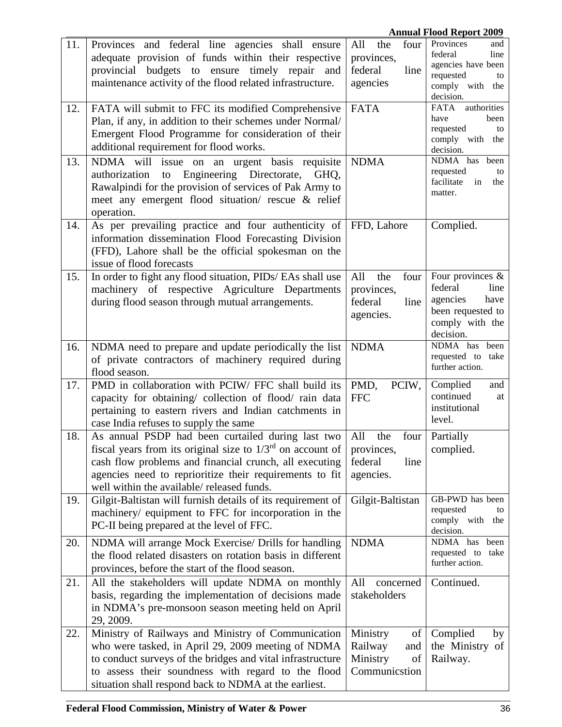|     |                                                                                                                                                                                                                                                                                       |                                                                     | <b>Annual Flood Report 2009</b>                                                                              |
|-----|---------------------------------------------------------------------------------------------------------------------------------------------------------------------------------------------------------------------------------------------------------------------------------------|---------------------------------------------------------------------|--------------------------------------------------------------------------------------------------------------|
| 11. | Provinces and federal line agencies shall ensure<br>adequate provision of funds within their respective<br>provincial budgets to ensure timely repair and<br>maintenance activity of the flood related infrastructure.                                                                | All<br>the<br>four<br>provinces,<br>federal<br>line<br>agencies     | Provinces<br>and<br>federal<br>line<br>agencies have been<br>requested<br>to<br>comply with the<br>decision. |
| 12. | FATA will submit to FFC its modified Comprehensive<br>Plan, if any, in addition to their schemes under Normal/<br>Emergent Flood Programme for consideration of their<br>additional requirement for flood works.                                                                      | <b>FATA</b>                                                         | <b>FATA</b><br>authorities<br>have<br>been<br>requested<br>to<br>comply with the<br>decision.                |
| 13. | NDMA will issue on an urgent basis requisite<br>Engineering Directorate,<br>authorization<br>to<br>GHQ,<br>Rawalpindi for the provision of services of Pak Army to<br>meet any emergent flood situation/ rescue & relief<br>operation.                                                | <b>NDMA</b>                                                         | NDMA has<br>been<br>requested<br>to<br>facilitate<br>in<br>the<br>matter.                                    |
| 14. | As per prevailing practice and four authenticity of<br>information dissemination Flood Forecasting Division<br>(FFD), Lahore shall be the official spokesman on the<br>issue of flood forecasts                                                                                       | FFD, Lahore                                                         | Complied.                                                                                                    |
| 15. | In order to fight any flood situation, PIDs/ EAs shall use<br>machinery of respective Agriculture Departments<br>during flood season through mutual arrangements.                                                                                                                     | All<br>the<br>four<br>provinces,<br>federal<br>line<br>agencies.    | Four provinces &<br>federal<br>line<br>agencies<br>have<br>been requested to<br>comply with the<br>decision. |
| 16. | NDMA need to prepare and update periodically the list<br>of private contractors of machinery required during<br>flood season.                                                                                                                                                         | <b>NDMA</b>                                                         | NDMA has been<br>requested to take<br>further action.                                                        |
| 17. | PMD in collaboration with PCIW/ FFC shall build its<br>capacity for obtaining/ collection of flood/rain data<br>pertaining to eastern rivers and Indian catchments in<br>case India refuses to supply the same                                                                        | PMD,<br>PCIW,<br><b>FFC</b>                                         | Complied<br>and<br>continued<br>at<br>institutional<br>level.                                                |
| 18. | As annual PSDP had been curtailed during last two<br>fiscal years from its original size to $1/3rd$ on account of<br>cash flow problems and financial crunch, all executing<br>agencies need to reprioritize their requirements to fit<br>well within the available/released funds.   | All the<br>four<br>provinces,<br>federal<br>line<br>agencies.       | Partially<br>complied.                                                                                       |
| 19. | Gilgit-Baltistan will furnish details of its requirement of<br>machinery/ equipment to FFC for incorporation in the<br>PC-II being prepared at the level of FFC.                                                                                                                      | Gilgit-Baltistan                                                    | GB-PWD has been<br>requested<br>to<br>comply with the<br>decision.                                           |
| 20. | NDMA will arrange Mock Exercise/ Drills for handling<br>the flood related disasters on rotation basis in different<br>provinces, before the start of the flood season.                                                                                                                | <b>NDMA</b>                                                         | NDMA has been<br>requested to take<br>further action.                                                        |
| 21. | All the stakeholders will update NDMA on monthly<br>basis, regarding the implementation of decisions made<br>in NDMA's pre-monsoon season meeting held on April<br>29, 2009.                                                                                                          | All<br>concerned<br>stakeholders                                    | Continued.                                                                                                   |
| 22. | Ministry of Railways and Ministry of Communication<br>who were tasked, in April 29, 2009 meeting of NDMA<br>to conduct surveys of the bridges and vital infrastructure<br>to assess their soundness with regard to the flood<br>situation shall respond back to NDMA at the earliest. | Ministry<br>of<br>Railway<br>and<br>Ministry<br>οf<br>Communicstion | Complied<br>by<br>the Ministry of<br>Railway.                                                                |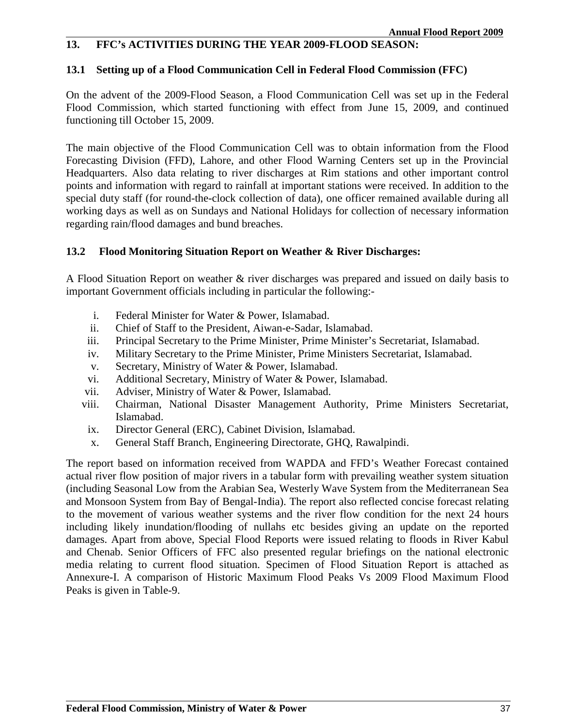### **13. FFC's ACTIVITIES DURING THE YEAR 2009-FLOOD SEASON:**

### **13.1 Setting up of a Flood Communication Cell in Federal Flood Commission (FFC)**

On the advent of the 2009-Flood Season, a Flood Communication Cell was set up in the Federal Flood Commission, which started functioning with effect from June 15, 2009, and continued functioning till October 15, 2009.

The main objective of the Flood Communication Cell was to obtain information from the Flood Forecasting Division (FFD), Lahore, and other Flood Warning Centers set up in the Provincial Headquarters. Also data relating to river discharges at Rim stations and other important control points and information with regard to rainfall at important stations were received. In addition to the special duty staff (for round-the-clock collection of data), one officer remained available during all working days as well as on Sundays and National Holidays for collection of necessary information regarding rain/flood damages and bund breaches.

### **13.2 Flood Monitoring Situation Report on Weather & River Discharges:**

A Flood Situation Report on weather & river discharges was prepared and issued on daily basis to important Government officials including in particular the following:-

- i. Federal Minister for Water & Power, Islamabad.
- ii. Chief of Staff to the President, Aiwan-e-Sadar, Islamabad.
- iii. Principal Secretary to the Prime Minister, Prime Minister's Secretariat, Islamabad.
- iv. Military Secretary to the Prime Minister, Prime Ministers Secretariat, Islamabad.
- v. Secretary, Ministry of Water & Power, Islamabad.
- vi. Additional Secretary, Ministry of Water & Power, Islamabad.
- vii. Adviser, Ministry of Water & Power, Islamabad.
- viii. Chairman, National Disaster Management Authority, Prime Ministers Secretariat, Islamabad.
- ix. Director General (ERC), Cabinet Division, Islamabad.
- x. General Staff Branch, Engineering Directorate, GHQ, Rawalpindi.

The report based on information received from WAPDA and FFD's Weather Forecast contained actual river flow position of major rivers in a tabular form with prevailing weather system situation (including Seasonal Low from the Arabian Sea, Westerly Wave System from the Mediterranean Sea and Monsoon System from Bay of Bengal-India). The report also reflected concise forecast relating to the movement of various weather systems and the river flow condition for the next 24 hours including likely inundation/flooding of nullahs etc besides giving an update on the reported damages. Apart from above, Special Flood Reports were issued relating to floods in River Kabul and Chenab. Senior Officers of FFC also presented regular briefings on the national electronic media relating to current flood situation. Specimen of Flood Situation Report is attached as Annexure-I. A comparison of Historic Maximum Flood Peaks Vs 2009 Flood Maximum Flood Peaks is given in Table-9.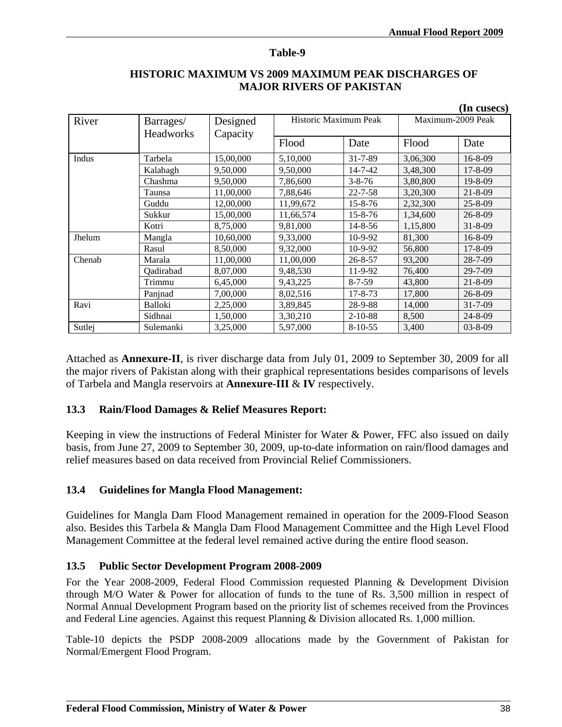#### **Table-9**

|        |                               |                                         |           |                       |          | (In cusecs)       |  |
|--------|-------------------------------|-----------------------------------------|-----------|-----------------------|----------|-------------------|--|
| River  | Barrages/<br><b>Headworks</b> | Designed<br>Capacity                    |           | Historic Maximum Peak |          | Maximum-2009 Peak |  |
|        |                               |                                         | Flood     | Date                  | Flood    | Date              |  |
| Indus  | Tarbela                       | 15,00,000                               | 5,10,000  | $31 - 7 - 89$         | 3,06,300 | $16 - 8 - 09$     |  |
|        | Kalabagh                      | 9,50,000                                | 9,50,000  | $14 - 7 - 42$         | 3,48,300 | $17 - 8 - 09$     |  |
|        | Chashma                       | 9,50,000                                | 7,86,600  | $3 - 8 - 76$          | 3,80,800 | $19 - 8 - 09$     |  |
|        | Taunsa                        | 11,00,000                               | 7,88,646  | $22 - 7 - 58$         | 3,20,300 | $21 - 8 - 09$     |  |
|        | Guddu                         | 12,00,000<br>11,99,672<br>$15 - 8 - 76$ |           |                       | 2,32,300 | $25 - 8 - 09$     |  |
|        | Sukkur                        | 15,00,000                               | 11,66,574 | $15 - 8 - 76$         | 1,34,600 | $26 - 8 - 09$     |  |
|        | Kotri                         | 8,75,000                                | 9,81,000  | $14 - 8 - 56$         | 1,15,800 | $31 - 8 - 09$     |  |
| Jhelum | Mangla                        | 10,60,000                               | 9,33,000  | $10-9-92$             | 81,300   | $16 - 8 - 09$     |  |
|        | Rasul                         | 8,50,000                                | 9,32,000  | $10-9-92$             | 56,800   | $17 - 8 - 09$     |  |
| Chenab | Marala                        | 11,00,000                               | 11,00,000 | $26 - 8 - 57$         | 93,200   | $28 - 7 - 09$     |  |
|        | Qadirabad                     | 8,07,000                                | 9,48,530  | 11-9-92               | 76,400   | $29 - 7 - 09$     |  |
|        | Trimmu                        | 6,45,000                                | 9,43,225  | $8 - 7 - 59$          | 43,800   | $21 - 8 - 09$     |  |
|        | Panjnad                       | 7,00,000                                | 8,02,516  | $17 - 8 - 73$         | 17,800   | $26 - 8 - 09$     |  |
| Ravi   | <b>Balloki</b>                | 2,25,000                                | 3,89,845  | 28-9-88               | 14,000   | $31 - 7 - 09$     |  |
|        | Sidhnai                       | 1,50,000                                | 3,30,210  | $2 - 10 - 88$         | 8,500    | $24 - 8 - 09$     |  |
| Sutlej | Sulemanki                     | 3,25,000                                | 5,97,000  | $8-10-55$             | 3,400    | $03 - 8 - 09$     |  |

### **HISTORIC MAXIMUM VS 2009 MAXIMUM PEAK DISCHARGES OF MAJOR RIVERS OF PAKISTAN**

Attached as **Annexure-II**, is river discharge data from July 01, 2009 to September 30, 2009 for all the major rivers of Pakistan along with their graphical representations besides comparisons of levels of Tarbela and Mangla reservoirs at **Annexure-III** & **IV** respectively.

### **13.3 Rain/Flood Damages & Relief Measures Report:**

Keeping in view the instructions of Federal Minister for Water & Power, FFC also issued on daily basis, from June 27, 2009 to September 30, 2009, up-to-date information on rain/flood damages and relief measures based on data received from Provincial Relief Commissioners.

### **13.4 Guidelines for Mangla Flood Management:**

Guidelines for Mangla Dam Flood Management remained in operation for the 2009-Flood Season also. Besides this Tarbela & Mangla Dam Flood Management Committee and the High Level Flood Management Committee at the federal level remained active during the entire flood season.

### **13.5 Public Sector Development Program 2008-2009**

For the Year 2008-2009, Federal Flood Commission requested Planning & Development Division through M/O Water & Power for allocation of funds to the tune of Rs. 3,500 million in respect of Normal Annual Development Program based on the priority list of schemes received from the Provinces and Federal Line agencies. Against this request Planning & Division allocated Rs. 1,000 million.

Table-10 depicts the PSDP 2008-2009 allocations made by the Government of Pakistan for Normal/Emergent Flood Program.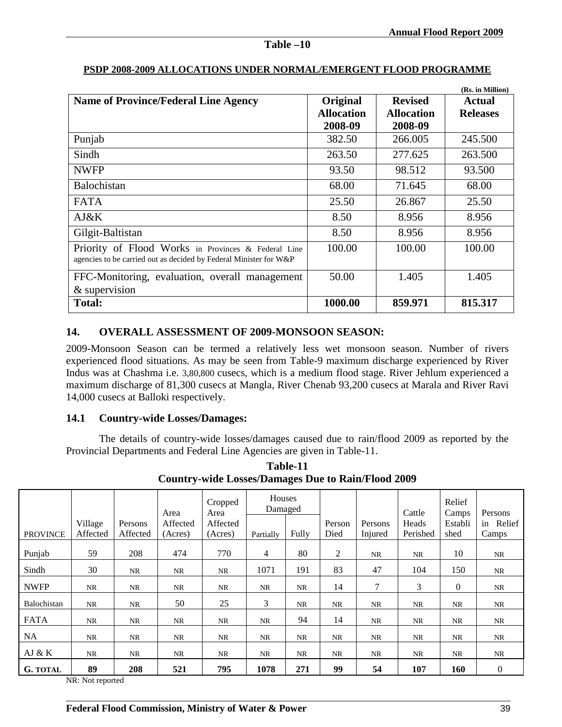|                                                                                                                          |                   |                   | (Rs. in Million) |
|--------------------------------------------------------------------------------------------------------------------------|-------------------|-------------------|------------------|
| <b>Name of Province/Federal Line Agency</b>                                                                              | Original          | <b>Revised</b>    | Actual           |
|                                                                                                                          | <b>Allocation</b> | <b>Allocation</b> | <b>Releases</b>  |
|                                                                                                                          | 2008-09           | 2008-09           |                  |
| Punjab                                                                                                                   | 382.50            | 266.005           | 245.500          |
| Sindh                                                                                                                    | 263.50            | 277.625           | 263.500          |
| <b>NWFP</b>                                                                                                              | 93.50             | 98.512            | 93.500           |
| <b>Balochistan</b>                                                                                                       | 68.00             | 71.645            | 68.00            |
| <b>FATA</b>                                                                                                              | 25.50             | 26.867            | 25.50            |
| AJ&K                                                                                                                     | 8.50              | 8.956             | 8.956            |
| Gilgit-Baltistan                                                                                                         | 8.50              | 8.956             | 8.956            |
| Priority of Flood Works in Provinces & Federal Line<br>agencies to be carried out as decided by Federal Minister for W&P | 100.00            | 100.00            | 100.00           |
| FFC-Monitoring, evaluation, overall management                                                                           | 50.00             | 1.405             | 1.405            |
| & supervision                                                                                                            |                   |                   |                  |
| <b>Total:</b>                                                                                                            | 1000.00           | 859.971           | 815.317          |

### **PSDP 2008-2009 ALLOCATIONS UNDER NORMAL/EMERGENT FLOOD PROGRAMME**

**Table –10**

### **14. OVERALL ASSESSMENT OF 2009-MONSOON SEASON:**

2009-Monsoon Season can be termed a relatively less wet monsoon season. Number of rivers experienced flood situations. As may be seen from Table-9 maximum discharge experienced by River Indus was at Chashma i.e. 3,80,800 cusecs, which is a medium flood stage. River Jehlum experienced a maximum discharge of 81,300 cusecs at Mangla, River Chenab 93,200 cusecs at Marala and River Ravi 14,000 cusecs at Balloki respectively.

#### **14.1 Country-wide Losses/Damages:**

 The details of country-wide losses/damages caused due to rain/flood 2009 as reported by the Provincial Departments and Federal Line Agencies are given in Table-11.

|                 | Country-wide Losses/Daniages Due to Kann/Flood 2009 |           |          |                 |                   |       |           |           |           |                 |           |
|-----------------|-----------------------------------------------------|-----------|----------|-----------------|-------------------|-------|-----------|-----------|-----------|-----------------|-----------|
|                 |                                                     |           | Area     | Cropped<br>Area | Houses<br>Damaged |       |           |           | Cattle    | Relief<br>Camps | Persons   |
|                 | Village                                             | Persons   | Affected | Affected        |                   |       | Person    | Persons   | Heads     | Establi         | in Relief |
| <b>PROVINCE</b> | Affected                                            | Affected  | (Acres)  | (Acres)         | Partially         | Fully | Died      | Injured   | Perished  | shed            | Camps     |
| Punjab          | 59                                                  | 208       | 474      | 770             | 4                 | 80    | 2         | NR        | <b>NR</b> | 10              | <b>NR</b> |
| Sindh           | 30                                                  | <b>NR</b> | NR       | NR              | 1071              | 191   | 83        | 47        | 104       | 150             | <b>NR</b> |
| <b>NWFP</b>     | NR                                                  | <b>NR</b> | NR       | NR              | <b>NR</b>         | NR    | 14        | 7         | 3         | $\Omega$        | <b>NR</b> |
| Balochistan     | NR                                                  | <b>NR</b> | 50       | 25              | 3                 | NR    | <b>NR</b> | <b>NR</b> | <b>NR</b> | <b>NR</b>       | <b>NR</b> |
| <b>FATA</b>     | NR                                                  | NR.       | NR       | NR              | <b>NR</b>         | 94    | 14        | NR        | <b>NR</b> | <b>NR</b>       | NR        |
| NA.             | NR                                                  | <b>NR</b> | NR       | NR              | <b>NR</b>         | NR    | <b>NR</b> | NR        | <b>NR</b> | <b>NR</b>       | <b>NR</b> |
| AJ $&$ K        | NR                                                  | <b>NR</b> | NR       | <b>NR</b>       | <b>NR</b>         | NR    | NR        | NR        | <b>NR</b> | <b>NR</b>       | <b>NR</b> |
| <b>G. TOTAL</b> | 89                                                  | 208       | 521      | 795             | 1078              | 271   | 99        | 54        | 107       | <b>160</b>      | $\theta$  |

**Table-11 Country-wide Losses/Damages Due to Rain/Flood 2009**

NR: Not reported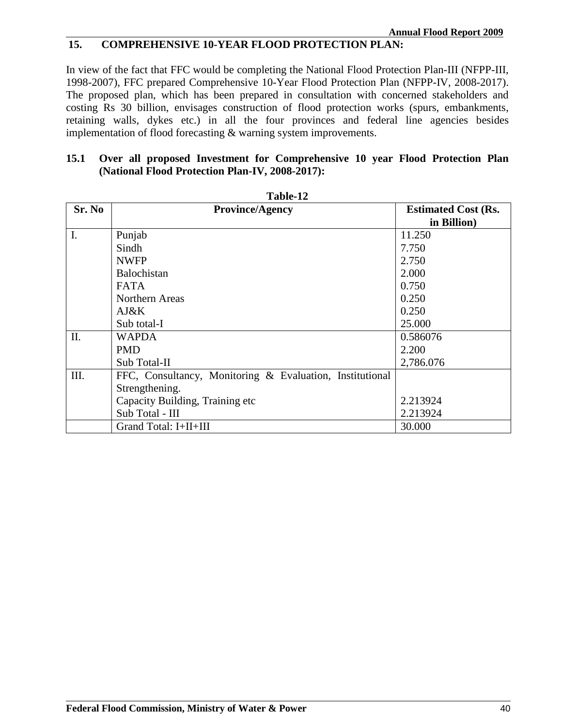### **15. COMPREHENSIVE 10-YEAR FLOOD PROTECTION PLAN:**

In view of the fact that FFC would be completing the National Flood Protection Plan-III (NFPP-III, 1998-2007), FFC prepared Comprehensive 10-Year Flood Protection Plan (NFPP-IV, 2008-2017). The proposed plan, which has been prepared in consultation with concerned stakeholders and costing Rs 30 billion, envisages construction of flood protection works (spurs, embankments, retaining walls, dykes etc.) in all the four provinces and federal line agencies besides implementation of flood forecasting & warning system improvements.

### **15.1 Over all proposed Investment for Comprehensive 10 year Flood Protection Plan (National Flood Protection Plan-IV, 2008-2017):**

| Sr. No | <b>Province/Agency</b>                                   | <b>Estimated Cost (Rs.</b> |
|--------|----------------------------------------------------------|----------------------------|
|        |                                                          | in Billion)                |
| I.     | Punjab                                                   | 11.250                     |
|        | Sindh                                                    | 7.750                      |
|        | <b>NWFP</b>                                              | 2.750                      |
|        | <b>Balochistan</b>                                       | 2.000                      |
|        | <b>FATA</b>                                              | 0.750                      |
|        | Northern Areas                                           | 0.250                      |
|        | A J & K                                                  | 0.250                      |
|        | Sub total-I                                              | 25.000                     |
| Π.     | <b>WAPDA</b>                                             | 0.586076                   |
|        | <b>PMD</b>                                               | 2.200                      |
|        | Sub Total-II                                             | 2,786.076                  |
| III.   | FFC, Consultancy, Monitoring & Evaluation, Institutional |                            |
|        | Strengthening.                                           |                            |
|        | Capacity Building, Training etc                          | 2.213924                   |
|        | Sub Total - III                                          | 2.213924                   |
|        | Grand Total: I+II+III                                    | 30.000                     |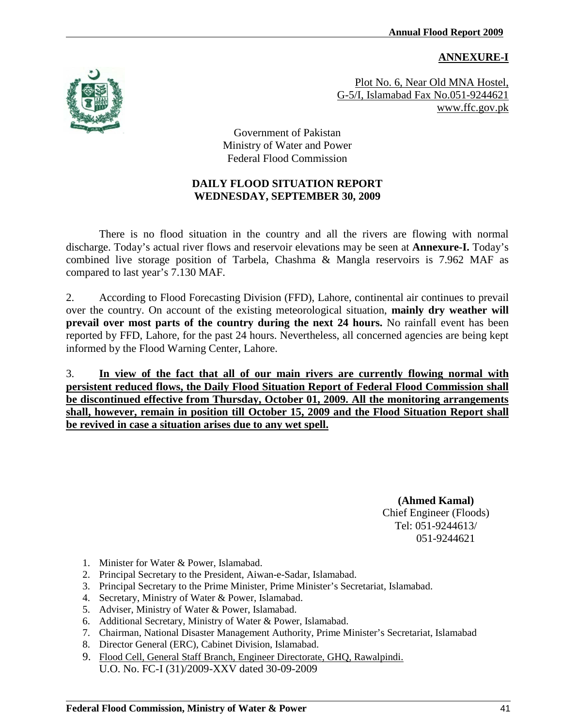#### **ANNEXURE-I**



Plot No. 6, Near Old MNA Hostel, G-5/I, Islamabad Fax No.051-9244621 www.ffc.gov.pk

Government of Pakistan Ministry of Water and Power Federal Flood Commission

### **DAILY FLOOD SITUATION REPORT WEDNESDAY, SEPTEMBER 30, 2009**

There is no flood situation in the country and all the rivers are flowing with normal discharge. Today's actual river flows and reservoir elevations may be seen at **Annexure-I.** Today's combined live storage position of Tarbela, Chashma & Mangla reservoirs is 7.962 MAF as compared to last year's 7.130 MAF.

2. According to Flood Forecasting Division (FFD), Lahore, continental air continues to prevail over the country. On account of the existing meteorological situation, **mainly dry weather will prevail over most parts of the country during the next 24 hours.** No rainfall event has been reported by FFD, Lahore, for the past 24 hours. Nevertheless, all concerned agencies are being kept informed by the Flood Warning Center, Lahore.

3. **In view of the fact that all of our main rivers are currently flowing normal with persistent reduced flows, the Daily Flood Situation Report of Federal Flood Commission shall be discontinued effective from Thursday, October 01, 2009. All the monitoring arrangements shall, however, remain in position till October 15, 2009 and the Flood Situation Report shall be revived in case a situation arises due to any wet spell.** 

> **(Ahmed Kamal)** Chief Engineer (Floods) Tel: 051-9244613/ 051-9244621

- 1. Minister for Water & Power, Islamabad.
- 2. Principal Secretary to the President, Aiwan-e-Sadar, Islamabad.
- 3. Principal Secretary to the Prime Minister, Prime Minister's Secretariat, Islamabad.
- 4. Secretary, Ministry of Water & Power, Islamabad.
- 5. Adviser, Ministry of Water & Power, Islamabad.
- 6. Additional Secretary, Ministry of Water & Power, Islamabad.
- 7. Chairman, National Disaster Management Authority, Prime Minister's Secretariat, Islamabad
- 8. Director General (ERC), Cabinet Division, Islamabad.
- 9. Flood Cell, General Staff Branch, Engineer Directorate, GHQ, Rawalpindi. U.O. No. FC-I (31)/2009-XXV dated 30-09-2009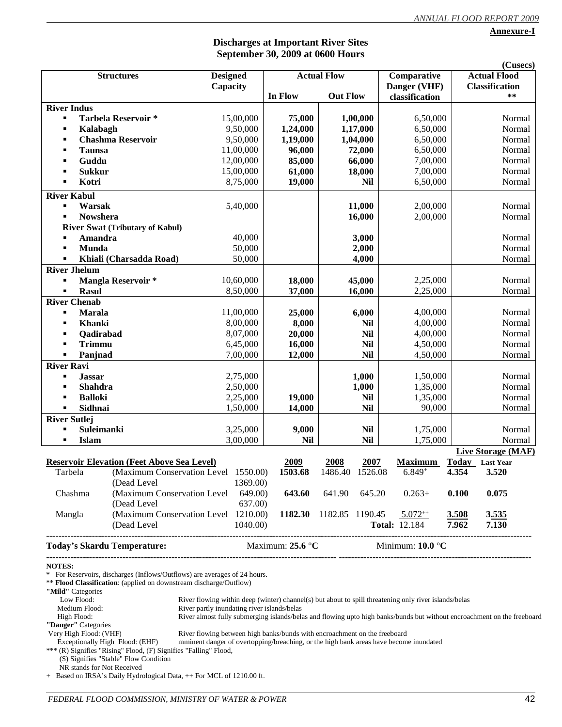**Annexure-I**

#### **Discharges at Important River Sites September 30, 2009 at 0600 Hours**

|                                |                                                                                                                                                 |                 |          |                           |                    |            |                           |       | (Cusecs)              |  |
|--------------------------------|-------------------------------------------------------------------------------------------------------------------------------------------------|-----------------|----------|---------------------------|--------------------|------------|---------------------------|-------|-----------------------|--|
|                                | <b>Structures</b>                                                                                                                               | <b>Designed</b> |          |                           | <b>Actual Flow</b> |            | Comparative               |       | <b>Actual Flood</b>   |  |
|                                |                                                                                                                                                 | Capacity        |          |                           |                    |            | Danger (VHF)              |       | <b>Classification</b> |  |
|                                |                                                                                                                                                 |                 |          | In Flow                   | <b>Out Flow</b>    |            | classification            |       | **                    |  |
| <b>River Indus</b>             |                                                                                                                                                 |                 |          |                           |                    |            |                           |       |                       |  |
| ٠                              | <b>Tarbela Reservoir *</b>                                                                                                                      | 15,00,000       |          | 75,000                    |                    | 1,00,000   | 6,50,000                  |       | Normal                |  |
| Kalabagh                       |                                                                                                                                                 | 9,50,000        |          | 1,24,000                  |                    | 1,17,000   | 6,50,000                  |       | Normal                |  |
|                                | <b>Chashma Reservoir</b>                                                                                                                        | 9,50,000        |          | 1,19,000                  |                    | 1,04,000   | 6,50,000                  |       | Normal                |  |
| <b>Taunsa</b><br>٠             |                                                                                                                                                 | 11,00,000       |          | 96,000                    |                    | 72,000     | 6,50,000                  |       | Normal                |  |
| Guddu<br>п                     |                                                                                                                                                 | 12,00,000       |          | 85,000                    |                    | 66,000     | 7,00,000                  |       | Normal                |  |
| <b>Sukkur</b><br>п             |                                                                                                                                                 | 15,00,000       |          | 61,000                    |                    | 18,000     | 7,00,000                  |       | Normal                |  |
| Kotri<br>٠                     |                                                                                                                                                 | 8,75,000        |          | 19,000                    |                    | Nil        | 6,50,000                  |       | Normal                |  |
|                                |                                                                                                                                                 |                 |          |                           |                    |            |                           |       |                       |  |
| <b>River Kabul</b>             |                                                                                                                                                 |                 |          |                           |                    |            |                           |       |                       |  |
| Warsak<br>Е                    |                                                                                                                                                 | 5,40,000        |          |                           |                    | 11,000     | 2,00,000                  |       | Normal                |  |
| <b>Nowshera</b>                |                                                                                                                                                 |                 |          |                           |                    | 16,000     | 2,00,000                  |       | Normal                |  |
|                                | <b>River Swat (Tributary of Kabul)</b>                                                                                                          |                 |          |                           |                    |            |                           |       |                       |  |
| Amandra                        |                                                                                                                                                 | 40,000          |          |                           |                    | 3,000      |                           |       | Normal                |  |
| Munda<br>٠                     |                                                                                                                                                 | 50,000          |          |                           |                    | 2,000      |                           |       | Normal                |  |
| $\blacksquare$                 | Khiali (Charsadda Road)                                                                                                                         | 50,000          |          |                           |                    | 4,000      |                           |       | Normal                |  |
| <b>River Jhelum</b>            |                                                                                                                                                 |                 |          |                           |                    |            |                           |       |                       |  |
| ٠                              | Mangla Reservoir*                                                                                                                               | 10,60,000       |          | 18,000                    |                    | 45,000     | 2,25,000                  |       | Normal                |  |
| $\blacksquare$<br><b>Rasul</b> |                                                                                                                                                 | 8,50,000        |          | 37,000                    |                    | 16,000     | 2,25,000                  |       | Normal                |  |
| <b>River Chenab</b>            |                                                                                                                                                 |                 |          |                           |                    |            |                           |       |                       |  |
| <b>Marala</b><br>٠             |                                                                                                                                                 | 11,00,000       |          | 25,000                    |                    | 6,000      | 4,00,000                  |       | Normal                |  |
| <b>Khanki</b><br>٠             |                                                                                                                                                 | 8,00,000        |          | 8,000                     |                    | <b>Nil</b> | 4,00,000                  |       | Normal                |  |
| Qadirabad                      |                                                                                                                                                 | 8,07,000        |          | 20,000                    | <b>Nil</b>         |            | 4,00,000                  |       | Normal                |  |
|                                |                                                                                                                                                 |                 |          |                           |                    |            |                           |       | Normal                |  |
| <b>Trimmu</b>                  |                                                                                                                                                 | 6,45,000        |          | 16,000                    |                    | <b>Nil</b> | 4,50,000                  |       |                       |  |
| Panjnad<br>٠                   |                                                                                                                                                 | 7,00,000        |          | 12,000                    |                    | <b>Nil</b> | 4,50,000                  |       | Normal                |  |
| <b>River Ravi</b>              |                                                                                                                                                 |                 |          |                           |                    |            |                           |       |                       |  |
| <b>Jassar</b><br>п             |                                                                                                                                                 | 2,75,000        |          |                           |                    | 1,000      | 1,50,000                  |       | Normal                |  |
| <b>Shahdra</b>                 |                                                                                                                                                 | 2,50,000        |          |                           |                    | 1,000      | 1,35,000                  |       | Normal                |  |
| <b>Balloki</b>                 |                                                                                                                                                 | 2,25,000        |          | 19,000                    |                    | <b>Nil</b> | 1,35,000                  |       | Normal                |  |
| Sidhnai<br>$\blacksquare$      |                                                                                                                                                 | 1,50,000        |          | 14,000                    |                    | <b>Nil</b> | 90,000                    |       | Normal                |  |
| <b>River Sutlej</b>            |                                                                                                                                                 |                 |          |                           |                    |            |                           |       |                       |  |
| Suleimanki<br>٠                |                                                                                                                                                 | 3,25,000        |          | 9,000                     |                    | <b>Nil</b> | 1,75,000                  |       | Normal                |  |
| <b>Islam</b><br>٠              |                                                                                                                                                 | 3,00,000        |          | <b>Nil</b>                |                    | <b>Nil</b> | 1,75,000                  |       | Normal                |  |
|                                |                                                                                                                                                 |                 |          |                           |                    |            |                           |       | Live Storage (MAF)    |  |
|                                | Reservoir Elevation (Feet Above Sea Level)                                                                                                      |                 |          | 2009                      | 2008               | 2007       | <b>Maximum</b>            |       | Today Last Year       |  |
| Tarbela                        | (Maximum Conservation Level 1550.00)                                                                                                            |                 |          | 1503.68                   | 1486.40 1526.08    |            | $6.849+$                  | 4.354 | 3.520                 |  |
|                                | (Dead Level                                                                                                                                     |                 | 1369.00) |                           |                    |            |                           |       |                       |  |
| Chashma                        | (Maximum Conservation Level                                                                                                                     |                 | 649.00)  | 643.60                    | 641.90             | 645.20     | $0.263+$                  | 0.100 | 0.075                 |  |
|                                | (Dead Level                                                                                                                                     |                 | 637.00)  |                           |                    |            |                           |       |                       |  |
| Mangla                         | (Maximum Conservation Level 1210.00)                                                                                                            |                 |          | 1182.30                   | 1182.85 1190.45    |            | $5.072^{++}$              | 3.508 | 3.535                 |  |
|                                | (Dead Level)                                                                                                                                    |                 | 1040.00) |                           |                    |            | <b>Total: 12.184</b>      | 7.962 | 7.130                 |  |
|                                |                                                                                                                                                 |                 |          |                           |                    |            |                           |       |                       |  |
|                                | <b>Today's Skardu Temperature:</b>                                                                                                              |                 |          | Maximum: $25.6^{\circ}$ C |                    |            | Minimum: $10.0 \degree C$ |       |                       |  |
| <b>NOTES:</b>                  | * For Reservoirs, discharges (Inflows/Outflows) are averages of 24 hours.<br>** Flood Classification: (applied on downstream discharge/Outflow) |                 |          |                           |                    |            |                           |       |                       |  |

**"Mild"** Categories

| <b>NIII</b> Categories                                                                                                                                                                                                         |                                                                                                                         |
|--------------------------------------------------------------------------------------------------------------------------------------------------------------------------------------------------------------------------------|-------------------------------------------------------------------------------------------------------------------------|
| Low Flood:                                                                                                                                                                                                                     | River flowing within deep (winter) channel(s) but about to spill threatening only river islands/belas                   |
| Medium Flood:                                                                                                                                                                                                                  | River partly inundating river islands/belas                                                                             |
| High Flood:                                                                                                                                                                                                                    | River almost fully submerging islands/belas and flowing upto high banks/bunds but without encroachment on the freeboard |
| "Danger" Categories                                                                                                                                                                                                            |                                                                                                                         |
| Very High Flood: (VHF)                                                                                                                                                                                                         | River flowing between high banks/bunds with encroachment on the freeboard                                               |
| Exceptionally High Flood: (EHF)                                                                                                                                                                                                | mminent danger of overtopping/breaching, or the high bank areas have become inundated                                   |
| *** (R) Signifies "Rising" Flood, (F) Signifies "Falling" Flood,                                                                                                                                                               |                                                                                                                         |
| $(0.01, 0.01, 0.01, 0.01, 0.01, 0.01, 0.01, 0.01, 0.01, 0.01, 0.01, 0.01, 0.01, 0.01, 0.01, 0.01, 0.01, 0.01, 0.01, 0.01, 0.01, 0.01, 0.01, 0.01, 0.01, 0.01, 0.01, 0.01, 0.01, 0.01, 0.01, 0.01, 0.01, 0.01, 0.01, 0.01, 0.0$ |                                                                                                                         |

 (S) Signifies "Stable" Flow Condition NR stands for Not Received

+ Based on IRSA's Daily Hydrological Data, ++ For MCL of 1210.00 ft.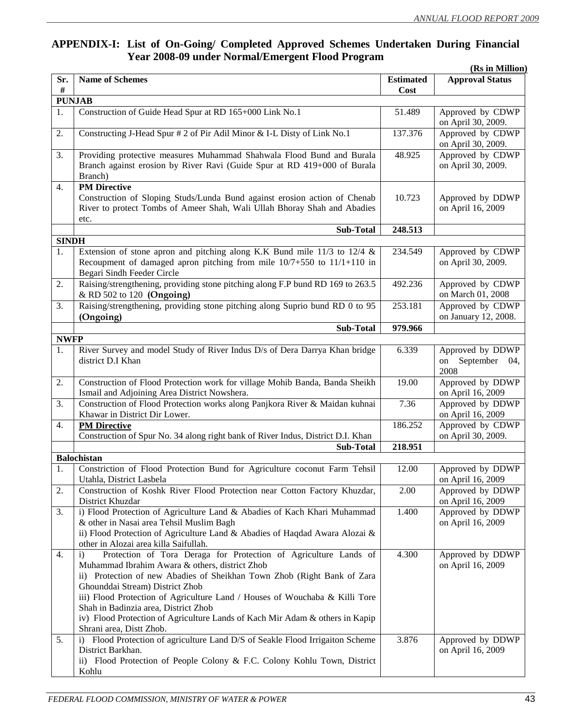#### **APPENDIX-I: List of On-Going/ Completed Approved Schemes Undertaken During Financial Year 2008-09 under Normal/Emergent Flood Program (Rs in Million)**

|              |                                                                                  |                          | (KS IN MIIIION)        |
|--------------|----------------------------------------------------------------------------------|--------------------------|------------------------|
| Sr.<br>$\#$  | <b>Name of Schemes</b>                                                           | <b>Estimated</b><br>Cost | <b>Approval Status</b> |
|              | <b>PUNJAB</b>                                                                    |                          |                        |
| 1.           | Construction of Guide Head Spur at RD 165+000 Link No.1                          | 51.489                   | Approved by CDWP       |
|              |                                                                                  |                          | on April 30, 2009.     |
| 2.           | Constructing J-Head Spur # 2 of Pir Adil Minor & I-L Disty of Link No.1          | 137.376                  | Approved by CDWP       |
|              |                                                                                  |                          |                        |
|              |                                                                                  | 48.925                   | on April 30, 2009.     |
| 3.           | Providing protective measures Muhammad Shahwala Flood Bund and Burala            |                          | Approved by CDWP       |
|              | Branch against erosion by River Ravi (Guide Spur at RD 419+000 of Burala         |                          | on April 30, 2009.     |
|              | Branch)                                                                          |                          |                        |
| 4.           | <b>PM</b> Directive                                                              |                          |                        |
|              | Construction of Sloping Studs/Lunda Bund against erosion action of Chenab        | 10.723                   | Approved by DDWP       |
|              | River to protect Tombs of Ameer Shah, Wali Ullah Bhoray Shah and Abadies         |                          | on April 16, 2009      |
|              | etc.                                                                             |                          |                        |
|              | <b>Sub-Total</b>                                                                 | 248.513                  |                        |
| <b>SINDH</b> |                                                                                  |                          |                        |
| 1.           | Extension of stone apron and pitching along K.K Bund mile $11/3$ to $12/4$ &     | 234.549                  | Approved by CDWP       |
|              | Recoupment of damaged apron pitching from mile 10/7+550 to 11/1+110 in           |                          | on April 30, 2009.     |
|              | Begari Sindh Feeder Circle                                                       |                          |                        |
| 2.           | Raising/strengthening, providing stone pitching along F.P bund RD 169 to 263.5   | 492.236                  | Approved by CDWP       |
|              | & RD 502 to 120 (Ongoing)                                                        |                          | on March 01, 2008      |
| 3.           | Raising/strengthening, providing stone pitching along Suprio bund RD 0 to 95     | 253.181                  | Approved by CDWP       |
|              | (Ongoing)                                                                        |                          | on January 12, 2008.   |
|              |                                                                                  |                          |                        |
|              | <b>Sub-Total</b>                                                                 | 979.966                  |                        |
| <b>NWFP</b>  |                                                                                  |                          |                        |
| 1.           | River Survey and model Study of River Indus D/s of Dera Darrya Khan bridge       | 6.339                    | Approved by DDWP       |
|              | district D.I Khan                                                                |                          | September 04,<br>on    |
|              |                                                                                  |                          | 2008                   |
| 2.           | Construction of Flood Protection work for village Mohib Banda, Banda Sheikh      | 19.00                    | Approved by DDWP       |
|              | Ismail and Adjoining Area District Nowshera.                                     |                          | on April 16, 2009      |
| 3.           | Construction of Flood Protection works along Panjkora River & Maidan kuhnai      | 7.36                     | Approved by DDWP       |
|              | Khawar in District Dir Lower.                                                    |                          | on April 16, 2009      |
| 4.           | <b>PM</b> Directive                                                              | 186.252                  | Approved by CDWP       |
|              | Construction of Spur No. 34 along right bank of River Indus, District D.I. Khan  |                          | on April 30, 2009.     |
|              | <b>Sub-Total</b>                                                                 | 218.951                  |                        |
|              | <b>Balochistan</b>                                                               |                          |                        |
| 1.           | Constriction of Flood Protection Bund for Agriculture coconut Farm Tehsil        | 12.00                    | Approved by DDWP       |
|              | Utahla, District Lasbela                                                         |                          | on April 16, 2009      |
| 2.           | Construction of Koshk River Flood Protection near Cotton Factory Khuzdar,        | 2.00                     | Approved by DDWP       |
|              | District Khuzdar                                                                 |                          | on April 16, 2009      |
| 3.           | i) Flood Protection of Agriculture Land & Abadies of Kach Khari Muhammad         | 1.400                    | Approved by DDWP       |
|              |                                                                                  |                          |                        |
|              | & other in Nasai area Tehsil Muslim Bagh                                         |                          | on April 16, 2009      |
|              | ii) Flood Protection of Agriculture Land & Abadies of Haqdad Awara Alozai &      |                          |                        |
|              | other in Alozai area killa Saifullah.                                            |                          |                        |
| 4.           | Protection of Tora Deraga for Protection of Agriculture Lands of<br>$\mathbf{i}$ | 4.300                    | Approved by DDWP       |
|              | Muhammad Ibrahim Awara & others, district Zhob                                   |                          | on April 16, 2009      |
|              | ii) Protection of new Abadies of Sheikhan Town Zhob (Right Bank of Zara          |                          |                        |
|              | Ghounddai Stream) District Zhob                                                  |                          |                        |
|              | iii) Flood Protection of Agriculture Land / Houses of Wouchaba & Killi Tore      |                          |                        |
|              | Shah in Badinzia area, District Zhob                                             |                          |                        |
|              | iv) Flood Protection of Agriculture Lands of Kach Mir Adam & others in Kapip     |                          |                        |
|              | Shrani area, Distt Zhob.                                                         |                          |                        |
| 5.           | i) Flood Protection of agriculture Land D/S of Seakle Flood Irrigaiton Scheme    | 3.876                    | Approved by DDWP       |
|              | District Barkhan.                                                                |                          | on April 16, 2009      |
|              | ii) Flood Protection of People Colony & F.C. Colony Kohlu Town, District         |                          |                        |
|              | Kohlu                                                                            |                          |                        |
|              |                                                                                  |                          |                        |